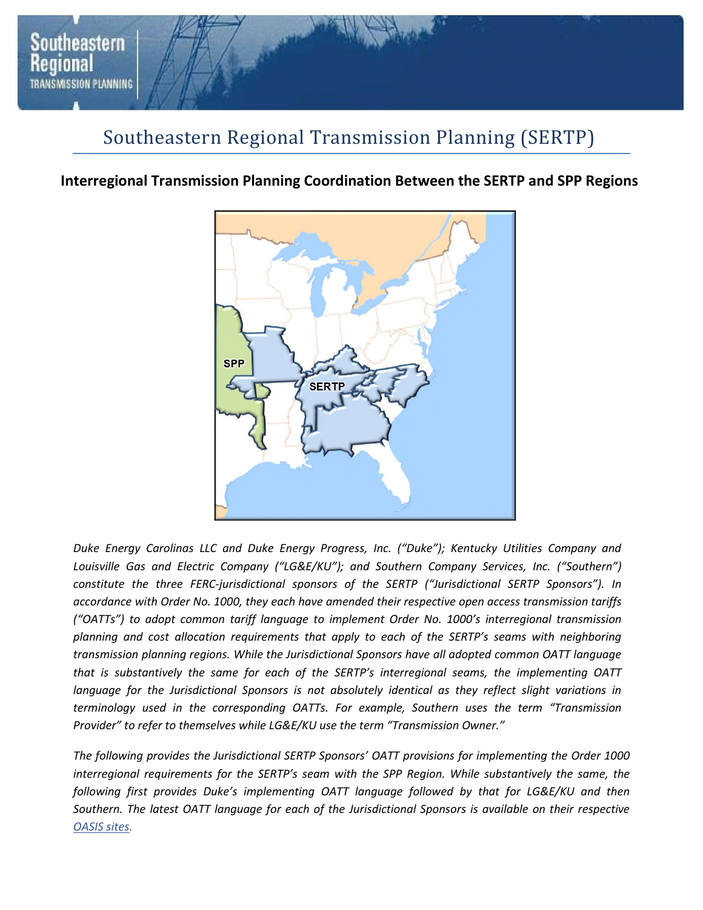

### Southeastern Regional Transmission Planning (SERTP)

### **Interregional Transmission Planning Coordination Between the SERTP and SPP Regions**



*Duke Energy Carolinas LLC and Duke Energy Progress, Inc. ("Duke"); Kentucky Utilities Company and*  Louisville Gas and Electric Company ("LG&E/KU"); and Southern Company Services, Inc. ("Southern") *constitute the three FERC-jurisdictional sponsors of the SERTP ("Jurisdictional SERTP Sponsors"). In accordance with Order No. 1000, they each have amended their respective open access transmission tariffs ("OATTs") to adopt common tariff language to implement Order No. 1000's interregional transmission planning and cost allocation requirements that apply to each of the SERTP's seams with neighboring transmission planning regions. While the Jurisdictional Sponsors have all adopted common OATT language that is substantively the same for each of the SERTP's interregional seams, the implementing OATT language for the Jurisdictional Sponsors is not absolutely identical as they reflect slight variations in terminology used in the corresponding OATTs. For example, Southern uses the term "Transmission Provider" to refer to themselves while LG&E/KU use the term "Transmission Owner."* 

*The following provides the Jurisdictional SERTP Sponsors' OATT provisions for implementing the Order 1000 interregional requirements for the SERTP's seam with the SPP Region. While substantively the same, the following first provides Duke's implementing OATT language followed by that for LG&E/KU and then Southern. The latest OATT language for each of the Jurisdictional Sponsors is available on their respective OASIS sites.*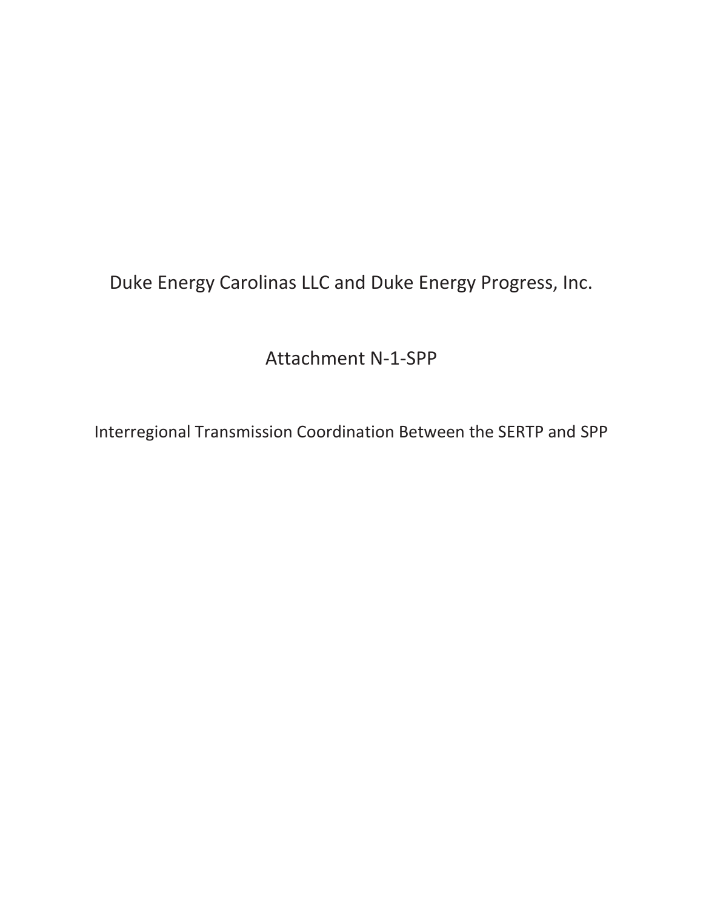Duke Energy Carolinas LLC and Duke Energy Progress, Inc.

Attachment N-1-SPP

Interregional Transmission Coordination Between the SERTP and SPP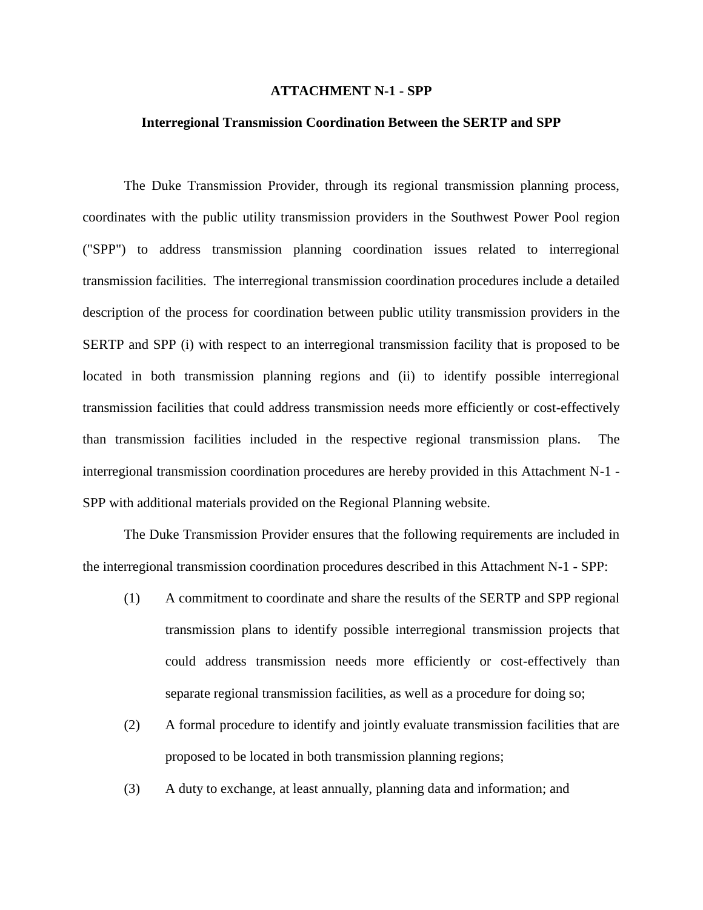#### **ATTACHMENT N-1 - SPP**

#### **Interregional Transmission Coordination Between the SERTP and SPP**

The Duke Transmission Provider, through its regional transmission planning process, coordinates with the public utility transmission providers in the Southwest Power Pool region ("SPP") to address transmission planning coordination issues related to interregional transmission facilities. The interregional transmission coordination procedures include a detailed description of the process for coordination between public utility transmission providers in the SERTP and SPP (i) with respect to an interregional transmission facility that is proposed to be located in both transmission planning regions and (ii) to identify possible interregional transmission facilities that could address transmission needs more efficiently or cost-effectively than transmission facilities included in the respective regional transmission plans. The interregional transmission coordination procedures are hereby provided in this Attachment N-1 - SPP with additional materials provided on the Regional Planning website.

The Duke Transmission Provider ensures that the following requirements are included in the interregional transmission coordination procedures described in this Attachment N-1 - SPP:

- (1) A commitment to coordinate and share the results of the SERTP and SPP regional transmission plans to identify possible interregional transmission projects that could address transmission needs more efficiently or cost-effectively than separate regional transmission facilities, as well as a procedure for doing so;
- (2) A formal procedure to identify and jointly evaluate transmission facilities that are proposed to be located in both transmission planning regions;
- (3) A duty to exchange, at least annually, planning data and information; and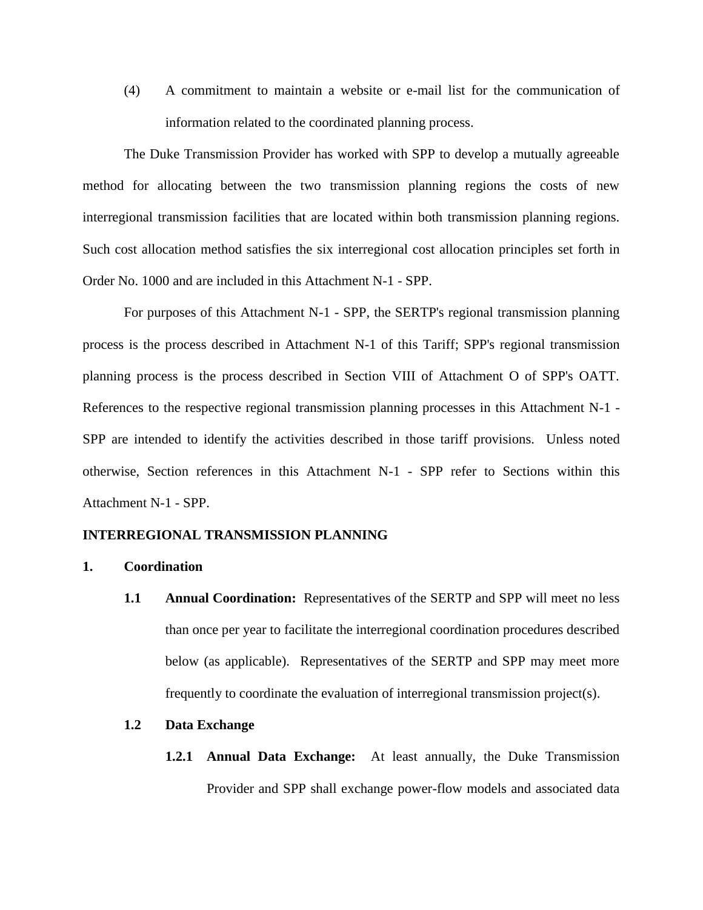(4) A commitment to maintain a website or e-mail list for the communication of information related to the coordinated planning process.

The Duke Transmission Provider has worked with SPP to develop a mutually agreeable method for allocating between the two transmission planning regions the costs of new interregional transmission facilities that are located within both transmission planning regions. Such cost allocation method satisfies the six interregional cost allocation principles set forth in Order No. 1000 and are included in this Attachment N-1 - SPP.

For purposes of this Attachment N-1 - SPP, the SERTP's regional transmission planning process is the process described in Attachment N-1 of this Tariff; SPP's regional transmission planning process is the process described in Section VIII of Attachment O of SPP's OATT. References to the respective regional transmission planning processes in this Attachment N-1 - SPP are intended to identify the activities described in those tariff provisions. Unless noted otherwise, Section references in this Attachment N-1 - SPP refer to Sections within this Attachment N-1 - SPP.

#### **INTERREGIONAL TRANSMISSION PLANNING**

- **1. Coordination** 
	- **1.1 Annual Coordination:** Representatives of the SERTP and SPP will meet no less than once per year to facilitate the interregional coordination procedures described below (as applicable). Representatives of the SERTP and SPP may meet more frequently to coordinate the evaluation of interregional transmission project(s).

#### **1.2 Data Exchange**

**1.2.1 Annual Data Exchange:** At least annually, the Duke Transmission Provider and SPP shall exchange power-flow models and associated data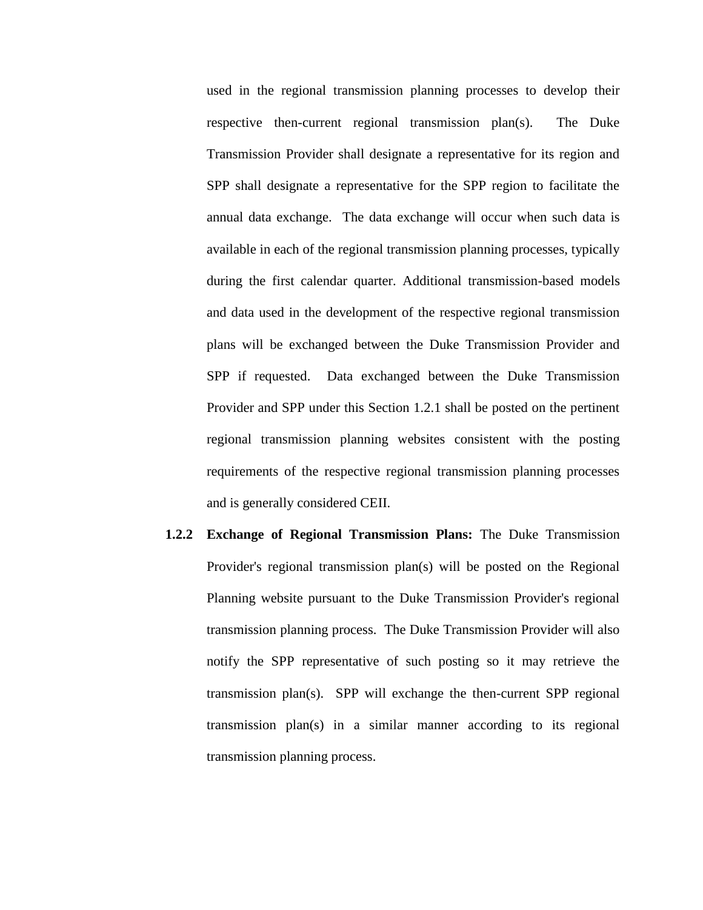used in the regional transmission planning processes to develop their respective then-current regional transmission plan(s). The Duke Transmission Provider shall designate a representative for its region and SPP shall designate a representative for the SPP region to facilitate the annual data exchange. The data exchange will occur when such data is available in each of the regional transmission planning processes, typically during the first calendar quarter. Additional transmission-based models and data used in the development of the respective regional transmission plans will be exchanged between the Duke Transmission Provider and SPP if requested. Data exchanged between the Duke Transmission Provider and SPP under this Section 1.2.1 shall be posted on the pertinent regional transmission planning websites consistent with the posting requirements of the respective regional transmission planning processes and is generally considered CEII.

**1.2.2 Exchange of Regional Transmission Plans:** The Duke Transmission Provider's regional transmission plan(s) will be posted on the Regional Planning website pursuant to the Duke Transmission Provider's regional transmission planning process. The Duke Transmission Provider will also notify the SPP representative of such posting so it may retrieve the transmission plan(s). SPP will exchange the then-current SPP regional transmission plan(s) in a similar manner according to its regional transmission planning process.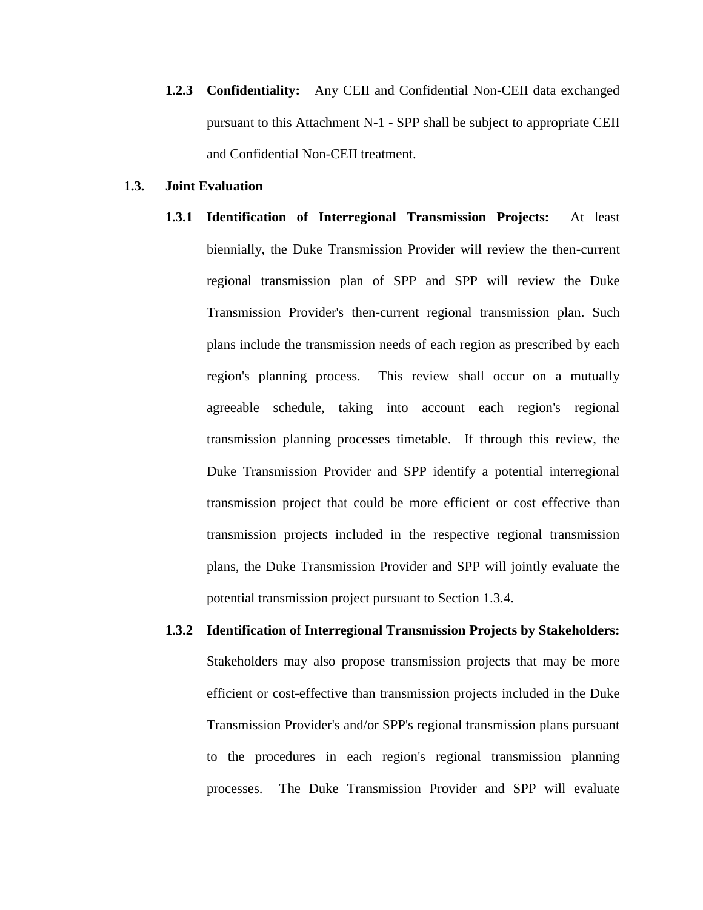**1.2.3 Confidentiality:** Any CEII and Confidential Non-CEII data exchanged pursuant to this Attachment N-1 - SPP shall be subject to appropriate CEII and Confidential Non-CEII treatment.

#### **1.3. Joint Evaluation**

- **1.3.1 Identification of Interregional Transmission Projects:** At least biennially, the Duke Transmission Provider will review the then-current regional transmission plan of SPP and SPP will review the Duke Transmission Provider's then-current regional transmission plan. Such plans include the transmission needs of each region as prescribed by each region's planning process. This review shall occur on a mutually agreeable schedule, taking into account each region's regional transmission planning processes timetable. If through this review, the Duke Transmission Provider and SPP identify a potential interregional transmission project that could be more efficient or cost effective than transmission projects included in the respective regional transmission plans, the Duke Transmission Provider and SPP will jointly evaluate the potential transmission project pursuant to Section 1.3.4.
- **1.3.2 Identification of Interregional Transmission Projects by Stakeholders:**  Stakeholders may also propose transmission projects that may be more efficient or cost-effective than transmission projects included in the Duke Transmission Provider's and/or SPP's regional transmission plans pursuant to the procedures in each region's regional transmission planning processes. The Duke Transmission Provider and SPP will evaluate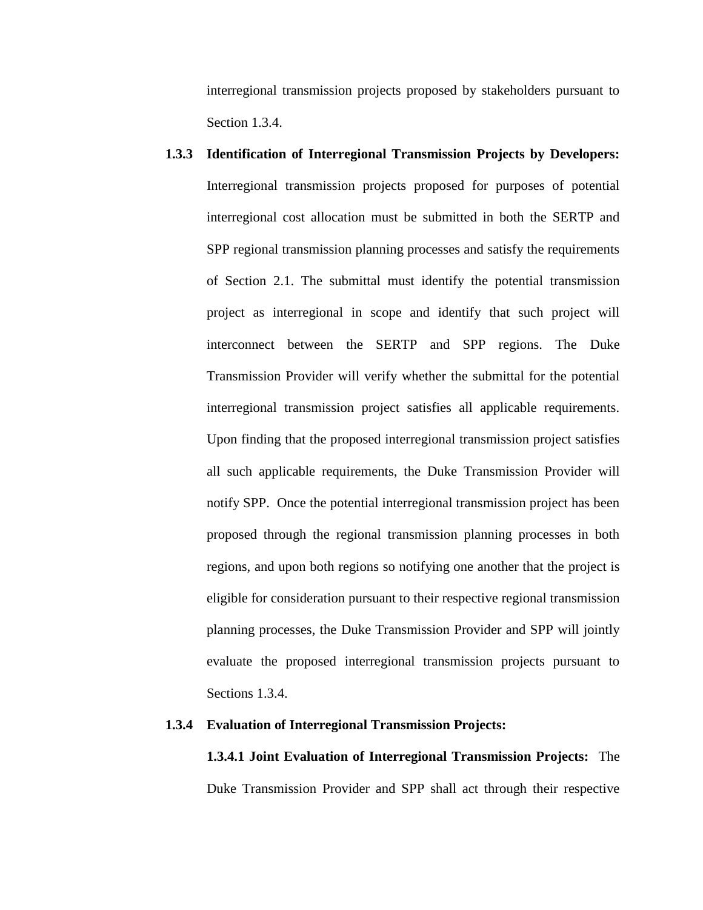interregional transmission projects proposed by stakeholders pursuant to Section 1.3.4.

**1.3.3 Identification of Interregional Transmission Projects by Developers:**  Interregional transmission projects proposed for purposes of potential interregional cost allocation must be submitted in both the SERTP and SPP regional transmission planning processes and satisfy the requirements of Section 2.1. The submittal must identify the potential transmission project as interregional in scope and identify that such project will interconnect between the SERTP and SPP regions. The Duke Transmission Provider will verify whether the submittal for the potential interregional transmission project satisfies all applicable requirements. Upon finding that the proposed interregional transmission project satisfies all such applicable requirements, the Duke Transmission Provider will notify SPP. Once the potential interregional transmission project has been proposed through the regional transmission planning processes in both regions, and upon both regions so notifying one another that the project is eligible for consideration pursuant to their respective regional transmission planning processes, the Duke Transmission Provider and SPP will jointly evaluate the proposed interregional transmission projects pursuant to Sections 1.3.4.

#### **1.3.4 Evaluation of Interregional Transmission Projects:**

**1.3.4.1 Joint Evaluation of Interregional Transmission Projects:** The Duke Transmission Provider and SPP shall act through their respective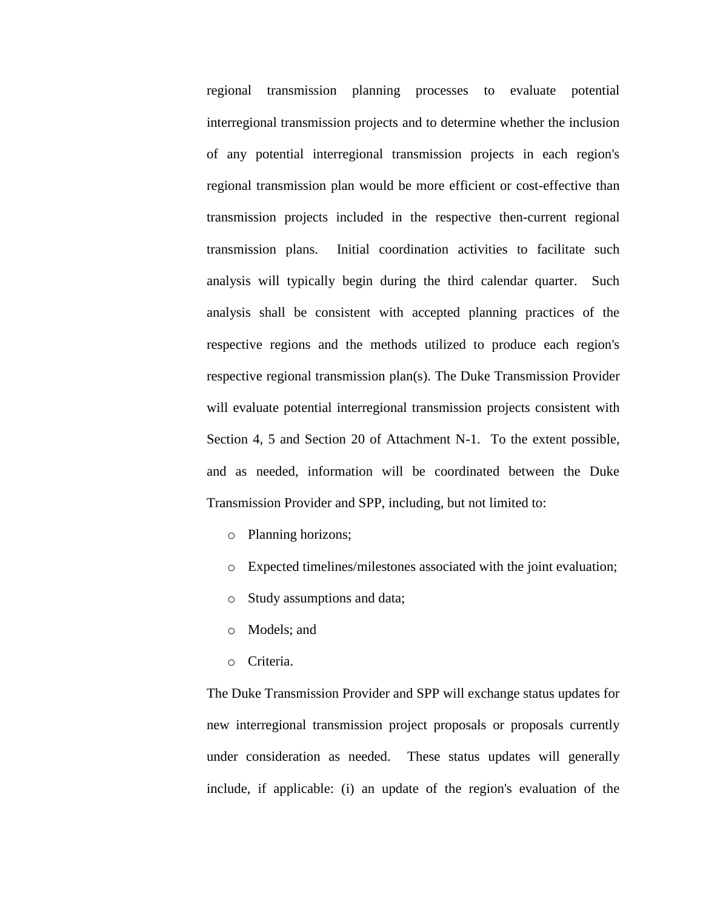regional transmission planning processes to evaluate potential interregional transmission projects and to determine whether the inclusion of any potential interregional transmission projects in each region's regional transmission plan would be more efficient or cost-effective than transmission projects included in the respective then-current regional transmission plans. Initial coordination activities to facilitate such analysis will typically begin during the third calendar quarter. Such analysis shall be consistent with accepted planning practices of the respective regions and the methods utilized to produce each region's respective regional transmission plan(s). The Duke Transmission Provider will evaluate potential interregional transmission projects consistent with Section 4, 5 and Section 20 of Attachment N-1. To the extent possible, and as needed, information will be coordinated between the Duke Transmission Provider and SPP, including, but not limited to:

- o Planning horizons;
- o Expected timelines/milestones associated with the joint evaluation;
- o Study assumptions and data;
- o Models; and
- o Criteria.

The Duke Transmission Provider and SPP will exchange status updates for new interregional transmission project proposals or proposals currently under consideration as needed. These status updates will generally include, if applicable: (i) an update of the region's evaluation of the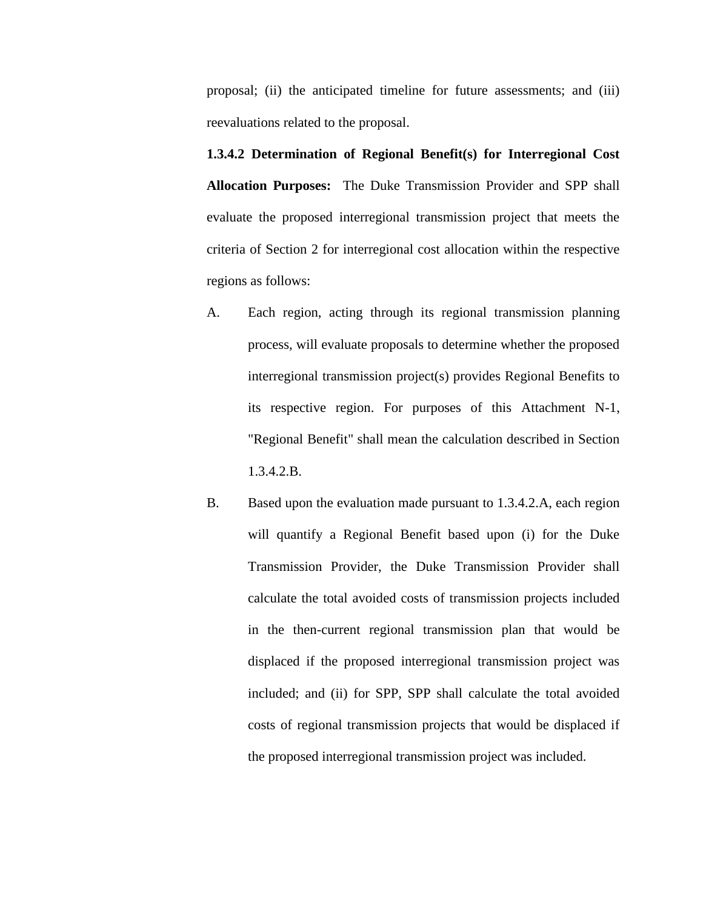proposal; (ii) the anticipated timeline for future assessments; and (iii) reevaluations related to the proposal.

**1.3.4.2 Determination of Regional Benefit(s) for Interregional Cost Allocation Purposes:** The Duke Transmission Provider and SPP shall evaluate the proposed interregional transmission project that meets the criteria of Section 2 for interregional cost allocation within the respective regions as follows:

- A. Each region, acting through its regional transmission planning process, will evaluate proposals to determine whether the proposed interregional transmission project(s) provides Regional Benefits to its respective region. For purposes of this Attachment N-1, "Regional Benefit" shall mean the calculation described in Section 1.3.4.2.B.
- B. Based upon the evaluation made pursuant to 1.3.4.2.A, each region will quantify a Regional Benefit based upon (i) for the Duke Transmission Provider, the Duke Transmission Provider shall calculate the total avoided costs of transmission projects included in the then-current regional transmission plan that would be displaced if the proposed interregional transmission project was included; and (ii) for SPP, SPP shall calculate the total avoided costs of regional transmission projects that would be displaced if the proposed interregional transmission project was included.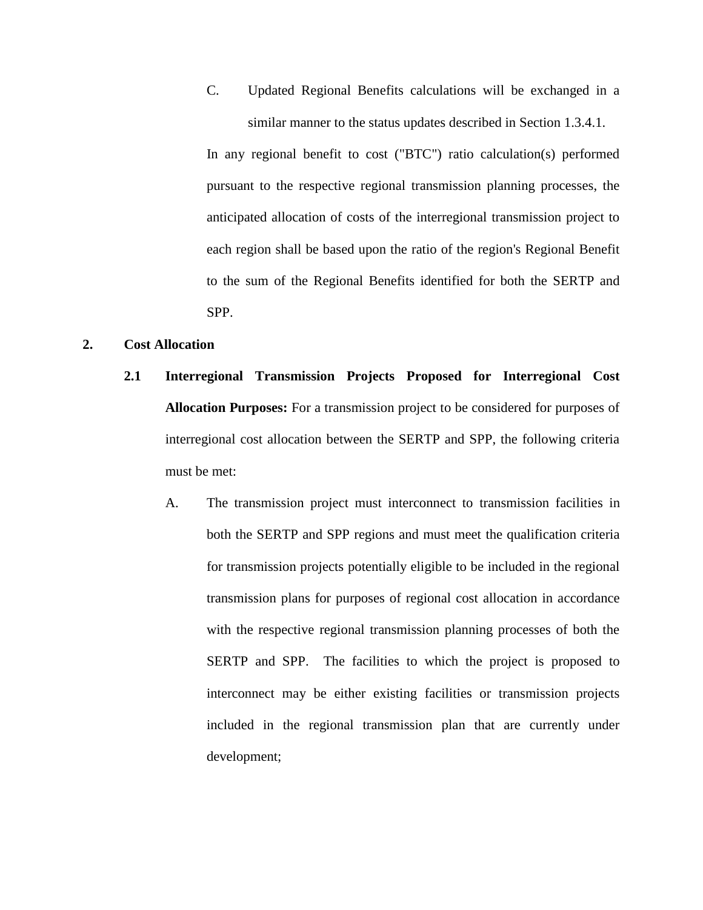C. Updated Regional Benefits calculations will be exchanged in a similar manner to the status updates described in Section 1.3.4.1.

In any regional benefit to cost ("BTC") ratio calculation(s) performed pursuant to the respective regional transmission planning processes, the anticipated allocation of costs of the interregional transmission project to each region shall be based upon the ratio of the region's Regional Benefit to the sum of the Regional Benefits identified for both the SERTP and SPP.

#### **2. Cost Allocation**

- **2.1 Interregional Transmission Projects Proposed for Interregional Cost Allocation Purposes:** For a transmission project to be considered for purposes of interregional cost allocation between the SERTP and SPP, the following criteria must be met:
	- A. The transmission project must interconnect to transmission facilities in both the SERTP and SPP regions and must meet the qualification criteria for transmission projects potentially eligible to be included in the regional transmission plans for purposes of regional cost allocation in accordance with the respective regional transmission planning processes of both the SERTP and SPP. The facilities to which the project is proposed to interconnect may be either existing facilities or transmission projects included in the regional transmission plan that are currently under development;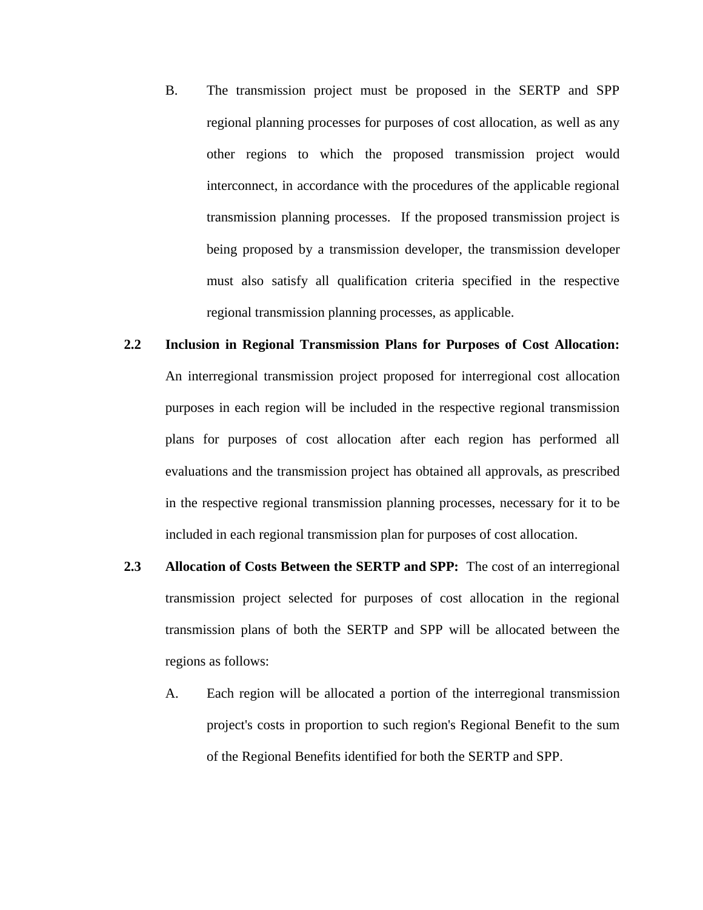- B. The transmission project must be proposed in the SERTP and SPP regional planning processes for purposes of cost allocation, as well as any other regions to which the proposed transmission project would interconnect, in accordance with the procedures of the applicable regional transmission planning processes. If the proposed transmission project is being proposed by a transmission developer, the transmission developer must also satisfy all qualification criteria specified in the respective regional transmission planning processes, as applicable.
- **2.2 Inclusion in Regional Transmission Plans for Purposes of Cost Allocation:**  An interregional transmission project proposed for interregional cost allocation purposes in each region will be included in the respective regional transmission plans for purposes of cost allocation after each region has performed all evaluations and the transmission project has obtained all approvals, as prescribed in the respective regional transmission planning processes, necessary for it to be included in each regional transmission plan for purposes of cost allocation.
- **2.3 Allocation of Costs Between the SERTP and SPP:** The cost of an interregional transmission project selected for purposes of cost allocation in the regional transmission plans of both the SERTP and SPP will be allocated between the regions as follows:
	- A. Each region will be allocated a portion of the interregional transmission project's costs in proportion to such region's Regional Benefit to the sum of the Regional Benefits identified for both the SERTP and SPP.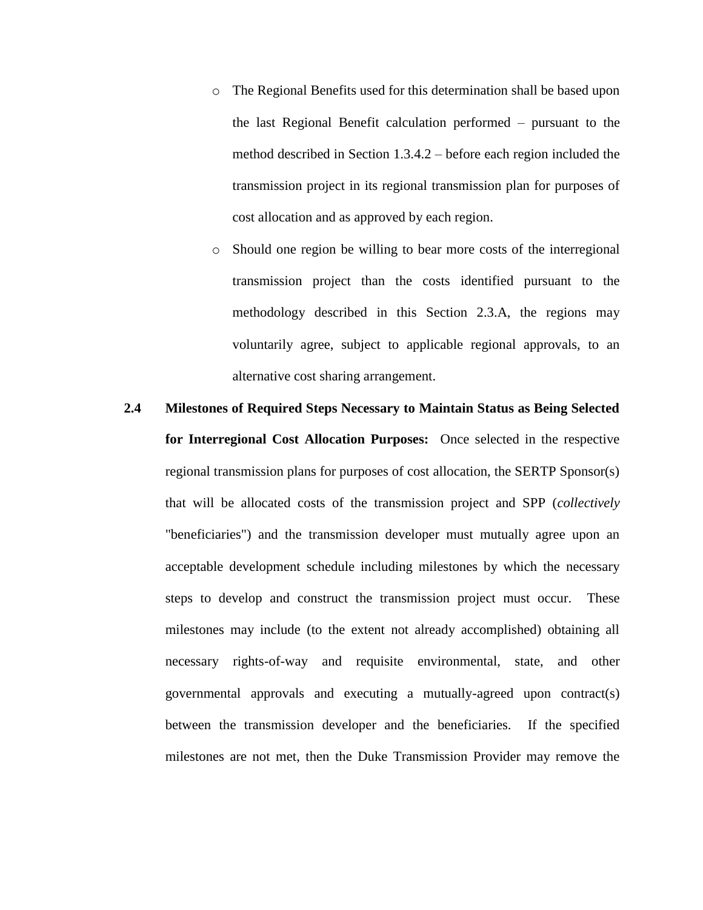- o The Regional Benefits used for this determination shall be based upon the last Regional Benefit calculation performed – pursuant to the method described in Section 1.3.4.2 – before each region included the transmission project in its regional transmission plan for purposes of cost allocation and as approved by each region.
- o Should one region be willing to bear more costs of the interregional transmission project than the costs identified pursuant to the methodology described in this Section 2.3.A, the regions may voluntarily agree, subject to applicable regional approvals, to an alternative cost sharing arrangement.

# **2.4 Milestones of Required Steps Necessary to Maintain Status as Being Selected for Interregional Cost Allocation Purposes:** Once selected in the respective regional transmission plans for purposes of cost allocation, the SERTP Sponsor(s) that will be allocated costs of the transmission project and SPP (*collectively* "beneficiaries") and the transmission developer must mutually agree upon an acceptable development schedule including milestones by which the necessary steps to develop and construct the transmission project must occur. These milestones may include (to the extent not already accomplished) obtaining all necessary rights-of-way and requisite environmental, state, and other governmental approvals and executing a mutually-agreed upon contract(s) between the transmission developer and the beneficiaries. If the specified milestones are not met, then the Duke Transmission Provider may remove the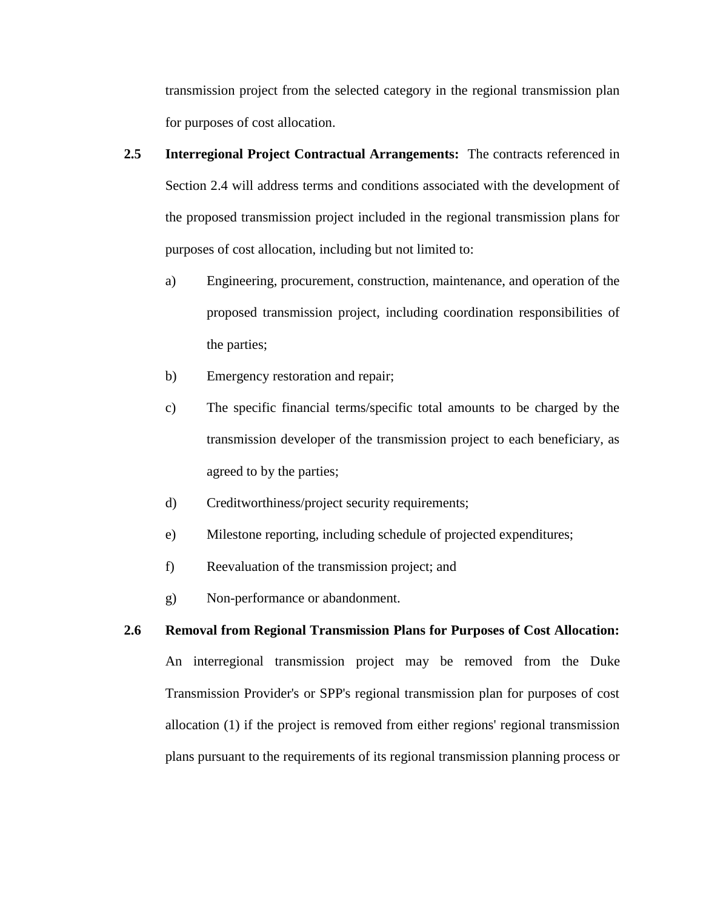transmission project from the selected category in the regional transmission plan for purposes of cost allocation.

- **2.5 Interregional Project Contractual Arrangements:** The contracts referenced in Section 2.4 will address terms and conditions associated with the development of the proposed transmission project included in the regional transmission plans for purposes of cost allocation, including but not limited to:
	- a) Engineering, procurement, construction, maintenance, and operation of the proposed transmission project, including coordination responsibilities of the parties;
	- b) Emergency restoration and repair;
	- c) The specific financial terms/specific total amounts to be charged by the transmission developer of the transmission project to each beneficiary, as agreed to by the parties;
	- d) Creditworthiness/project security requirements;
	- e) Milestone reporting, including schedule of projected expenditures;
	- f) Reevaluation of the transmission project; and
	- g) Non-performance or abandonment.

# **2.6 Removal from Regional Transmission Plans for Purposes of Cost Allocation:** An interregional transmission project may be removed from the Duke Transmission Provider's or SPP's regional transmission plan for purposes of cost allocation (1) if the project is removed from either regions' regional transmission plans pursuant to the requirements of its regional transmission planning process or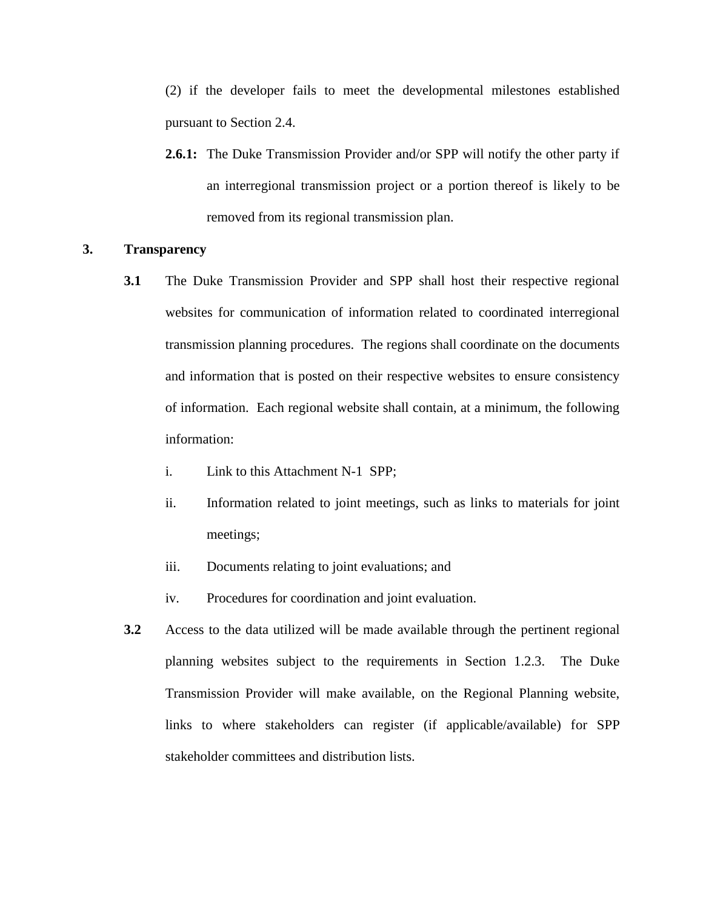(2) if the developer fails to meet the developmental milestones established pursuant to Section 2.4.

**2.6.1:** The Duke Transmission Provider and/or SPP will notify the other party if an interregional transmission project or a portion thereof is likely to be removed from its regional transmission plan.

#### **3. Transparency**

- **3.1** The Duke Transmission Provider and SPP shall host their respective regional websites for communication of information related to coordinated interregional transmission planning procedures. The regions shall coordinate on the documents and information that is posted on their respective websites to ensure consistency of information. Each regional website shall contain, at a minimum, the following information:
	- i. Link to this Attachment N-1 SPP;
	- ii. Information related to joint meetings, such as links to materials for joint meetings;
	- iii. Documents relating to joint evaluations; and
	- iv. Procedures for coordination and joint evaluation.
- **3.2** Access to the data utilized will be made available through the pertinent regional planning websites subject to the requirements in Section 1.2.3. The Duke Transmission Provider will make available, on the Regional Planning website, links to where stakeholders can register (if applicable/available) for SPP stakeholder committees and distribution lists.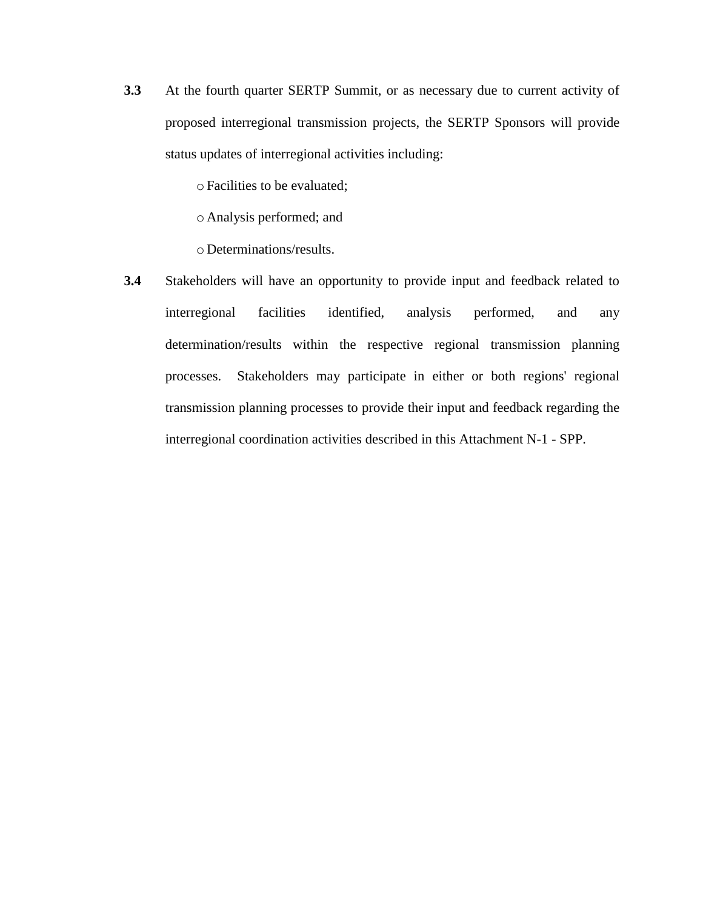**3.3** At the fourth quarter SERTP Summit, or as necessary due to current activity of proposed interregional transmission projects, the SERTP Sponsors will provide status updates of interregional activities including:

oFacilities to be evaluated;

o Analysis performed; and

o Determinations/results.

**3.4** Stakeholders will have an opportunity to provide input and feedback related to interregional facilities identified, analysis performed, and any determination/results within the respective regional transmission planning processes. Stakeholders may participate in either or both regions' regional transmission planning processes to provide their input and feedback regarding the interregional coordination activities described in this Attachment N-1 - SPP.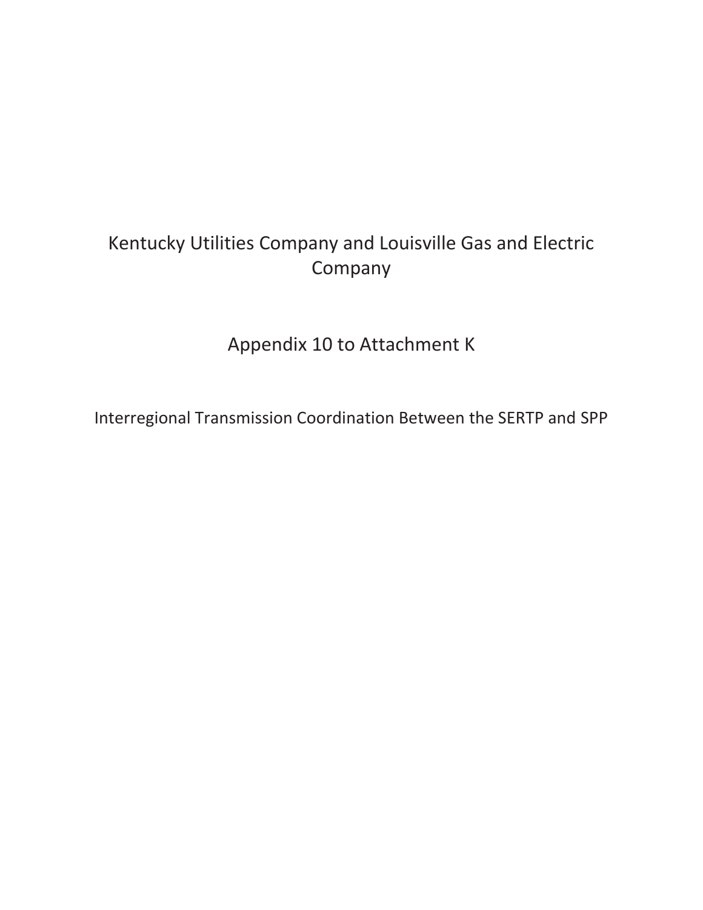### Kentucky Utilities Company and Louisville Gas and Electric Company

Appendix 10 to Attachment K

Interregional Transmission Coordination Between the SERTP and SPP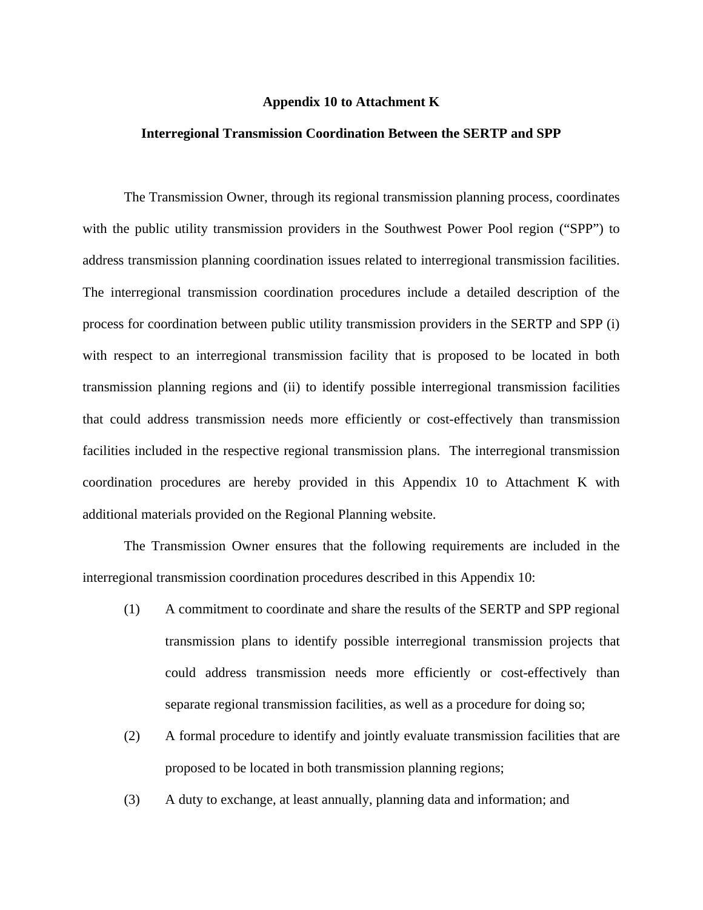#### **Appendix 10 to Attachment K**

#### **Interregional Transmission Coordination Between the SERTP and SPP**

The Transmission Owner, through its regional transmission planning process, coordinates with the public utility transmission providers in the Southwest Power Pool region ("SPP") to address transmission planning coordination issues related to interregional transmission facilities. The interregional transmission coordination procedures include a detailed description of the process for coordination between public utility transmission providers in the SERTP and SPP (i) with respect to an interregional transmission facility that is proposed to be located in both transmission planning regions and (ii) to identify possible interregional transmission facilities that could address transmission needs more efficiently or cost-effectively than transmission facilities included in the respective regional transmission plans. The interregional transmission coordination procedures are hereby provided in this Appendix 10 to Attachment K with additional materials provided on the Regional Planning website.

The Transmission Owner ensures that the following requirements are included in the interregional transmission coordination procedures described in this Appendix 10:

- (1) A commitment to coordinate and share the results of the SERTP and SPP regional transmission plans to identify possible interregional transmission projects that could address transmission needs more efficiently or cost-effectively than separate regional transmission facilities, as well as a procedure for doing so;
- (2) A formal procedure to identify and jointly evaluate transmission facilities that are proposed to be located in both transmission planning regions;
- (3) A duty to exchange, at least annually, planning data and information; and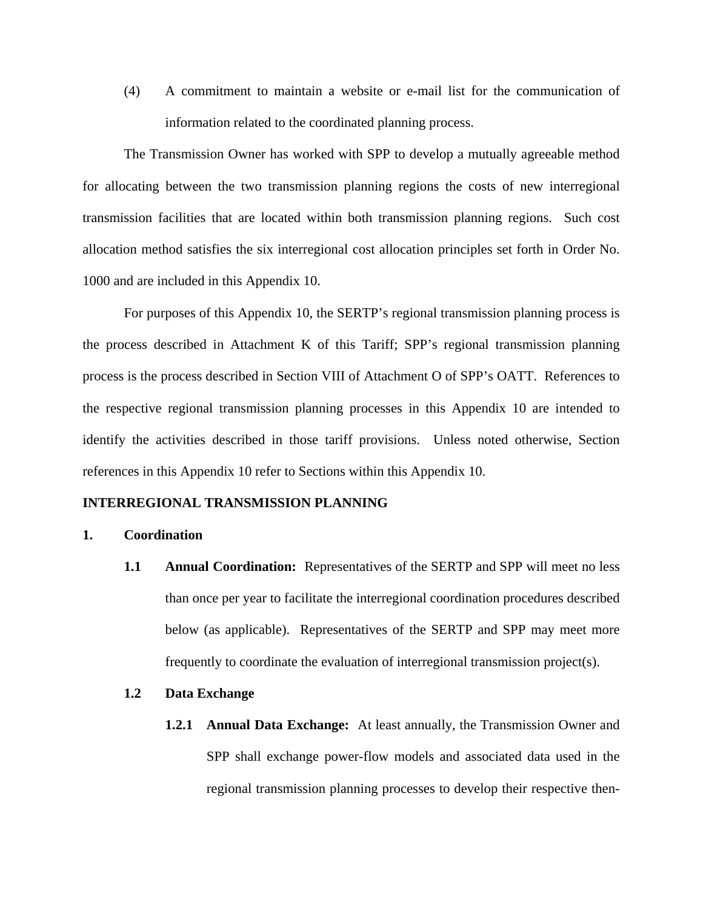(4) A commitment to maintain a website or e-mail list for the communication of information related to the coordinated planning process.

The Transmission Owner has worked with SPP to develop a mutually agreeable method for allocating between the two transmission planning regions the costs of new interregional transmission facilities that are located within both transmission planning regions. Such cost allocation method satisfies the six interregional cost allocation principles set forth in Order No. 1000 and are included in this Appendix 10.

For purposes of this Appendix 10, the SERTP's regional transmission planning process is the process described in Attachment K of this Tariff; SPP's regional transmission planning process is the process described in Section VIII of Attachment O of SPP's OATT. References to the respective regional transmission planning processes in this Appendix 10 are intended to identify the activities described in those tariff provisions. Unless noted otherwise, Section references in this Appendix 10 refer to Sections within this Appendix 10.

#### **INTERREGIONAL TRANSMISSION PLANNING**

#### **1. Coordination**

**1.1 Annual Coordination:** Representatives of the SERTP and SPP will meet no less than once per year to facilitate the interregional coordination procedures described below (as applicable). Representatives of the SERTP and SPP may meet more frequently to coordinate the evaluation of interregional transmission project(s).

#### **1.2 Data Exchange**

**1.2.1 Annual Data Exchange:** At least annually, the Transmission Owner and SPP shall exchange power-flow models and associated data used in the regional transmission planning processes to develop their respective then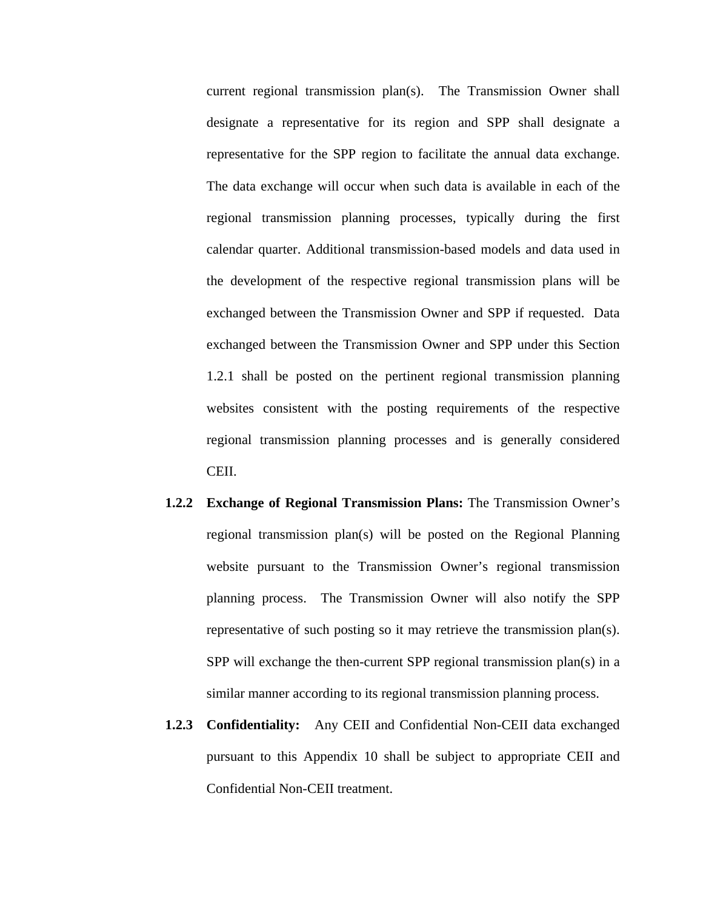current regional transmission plan(s). The Transmission Owner shall designate a representative for its region and SPP shall designate a representative for the SPP region to facilitate the annual data exchange. The data exchange will occur when such data is available in each of the regional transmission planning processes, typically during the first calendar quarter. Additional transmission-based models and data used in the development of the respective regional transmission plans will be exchanged between the Transmission Owner and SPP if requested. Data exchanged between the Transmission Owner and SPP under this Section 1.2.1 shall be posted on the pertinent regional transmission planning websites consistent with the posting requirements of the respective regional transmission planning processes and is generally considered CEII.

- **1.2.2 Exchange of Regional Transmission Plans:** The Transmission Owner's regional transmission plan(s) will be posted on the Regional Planning website pursuant to the Transmission Owner's regional transmission planning process. The Transmission Owner will also notify the SPP representative of such posting so it may retrieve the transmission plan(s). SPP will exchange the then-current SPP regional transmission plan(s) in a similar manner according to its regional transmission planning process.
- **1.2.3 Confidentiality:** Any CEII and Confidential Non-CEII data exchanged pursuant to this Appendix 10 shall be subject to appropriate CEII and Confidential Non-CEII treatment.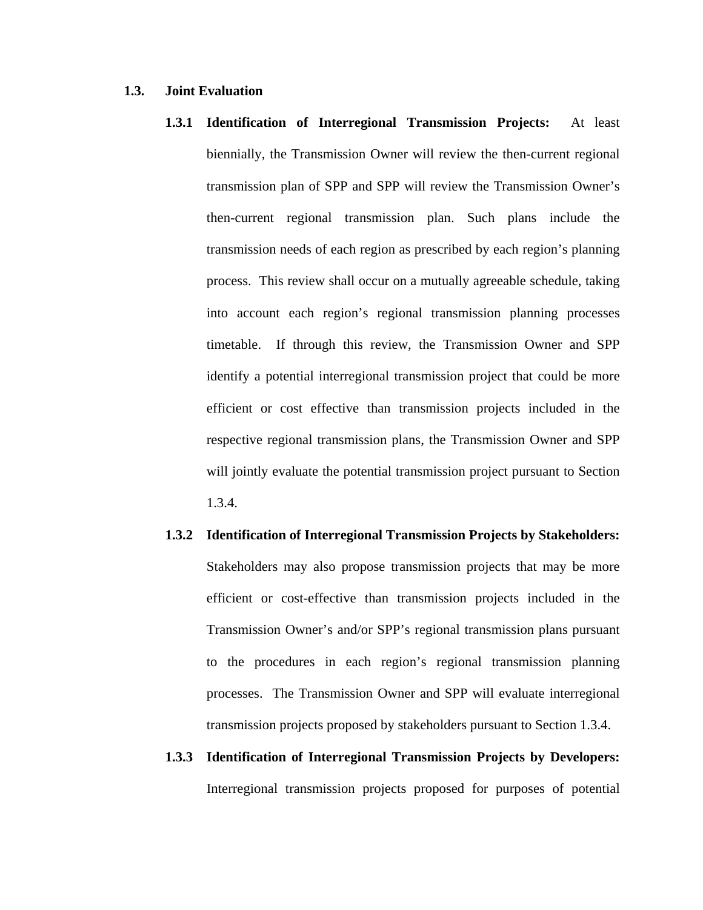#### **1.3. Joint Evaluation**

- **1.3.1 Identification of Interregional Transmission Projects:** At least biennially, the Transmission Owner will review the then-current regional transmission plan of SPP and SPP will review the Transmission Owner's then-current regional transmission plan. Such plans include the transmission needs of each region as prescribed by each region's planning process. This review shall occur on a mutually agreeable schedule, taking into account each region's regional transmission planning processes timetable. If through this review, the Transmission Owner and SPP identify a potential interregional transmission project that could be more efficient or cost effective than transmission projects included in the respective regional transmission plans, the Transmission Owner and SPP will jointly evaluate the potential transmission project pursuant to Section 1.3.4.
- **1.3.2 Identification of Interregional Transmission Projects by Stakeholders:**  Stakeholders may also propose transmission projects that may be more efficient or cost-effective than transmission projects included in the Transmission Owner's and/or SPP's regional transmission plans pursuant to the procedures in each region's regional transmission planning processes. The Transmission Owner and SPP will evaluate interregional transmission projects proposed by stakeholders pursuant to Section 1.3.4.
- **1.3.3 Identification of Interregional Transmission Projects by Developers:**  Interregional transmission projects proposed for purposes of potential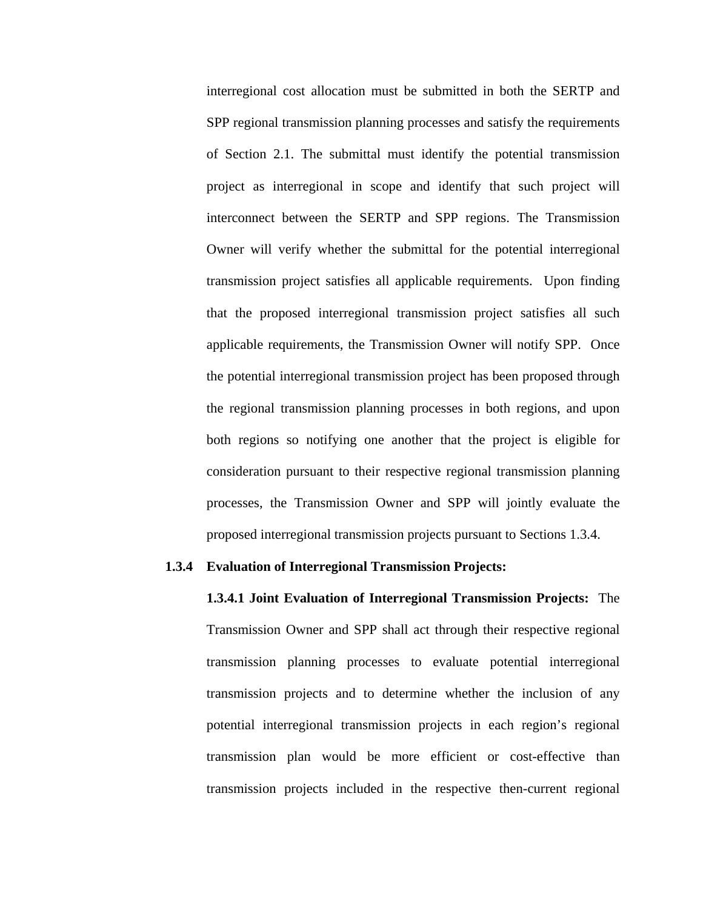interregional cost allocation must be submitted in both the SERTP and SPP regional transmission planning processes and satisfy the requirements of Section 2.1. The submittal must identify the potential transmission project as interregional in scope and identify that such project will interconnect between the SERTP and SPP regions. The Transmission Owner will verify whether the submittal for the potential interregional transmission project satisfies all applicable requirements. Upon finding that the proposed interregional transmission project satisfies all such applicable requirements, the Transmission Owner will notify SPP. Once the potential interregional transmission project has been proposed through the regional transmission planning processes in both regions, and upon both regions so notifying one another that the project is eligible for consideration pursuant to their respective regional transmission planning processes, the Transmission Owner and SPP will jointly evaluate the proposed interregional transmission projects pursuant to Sections 1.3.4.

#### **1.3.4 Evaluation of Interregional Transmission Projects:**

**1.3.4.1 Joint Evaluation of Interregional Transmission Projects:** The Transmission Owner and SPP shall act through their respective regional transmission planning processes to evaluate potential interregional transmission projects and to determine whether the inclusion of any potential interregional transmission projects in each region's regional transmission plan would be more efficient or cost-effective than transmission projects included in the respective then-current regional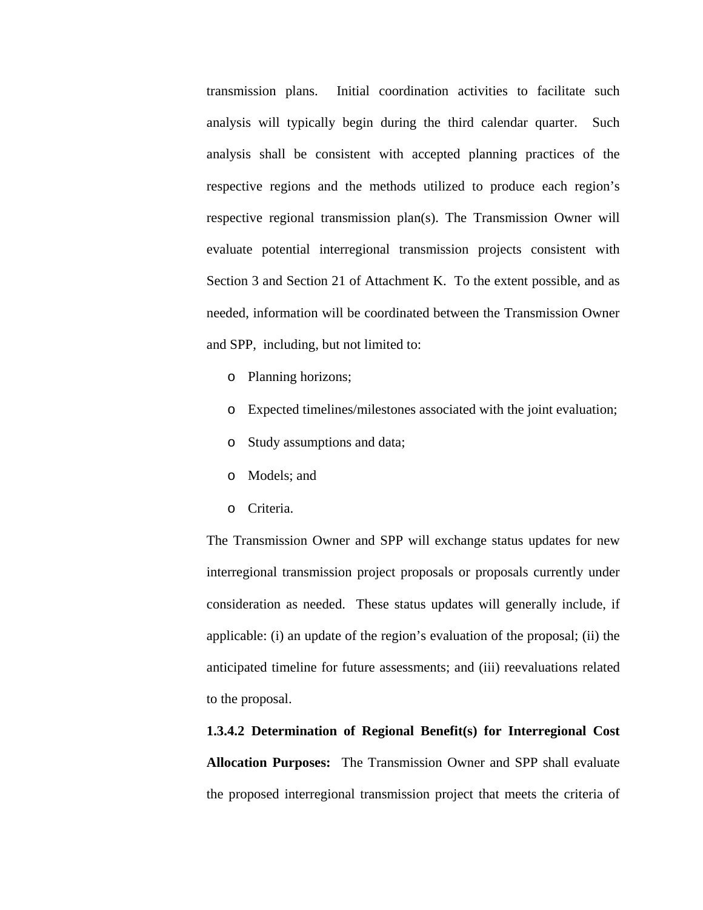transmission plans. Initial coordination activities to facilitate such analysis will typically begin during the third calendar quarter. Such analysis shall be consistent with accepted planning practices of the respective regions and the methods utilized to produce each region's respective regional transmission plan(s). The Transmission Owner will evaluate potential interregional transmission projects consistent with Section 3 and Section 21 of Attachment K. To the extent possible, and as needed, information will be coordinated between the Transmission Owner and SPP, including, but not limited to:

- o Planning horizons;
- o Expected timelines/milestones associated with the joint evaluation;
- o Study assumptions and data;
- o Models; and
- o Criteria.

The Transmission Owner and SPP will exchange status updates for new interregional transmission project proposals or proposals currently under consideration as needed. These status updates will generally include, if applicable: (i) an update of the region's evaluation of the proposal; (ii) the anticipated timeline for future assessments; and (iii) reevaluations related to the proposal.

## **1.3.4.2 Determination of Regional Benefit(s) for Interregional Cost Allocation Purposes:** The Transmission Owner and SPP shall evaluate the proposed interregional transmission project that meets the criteria of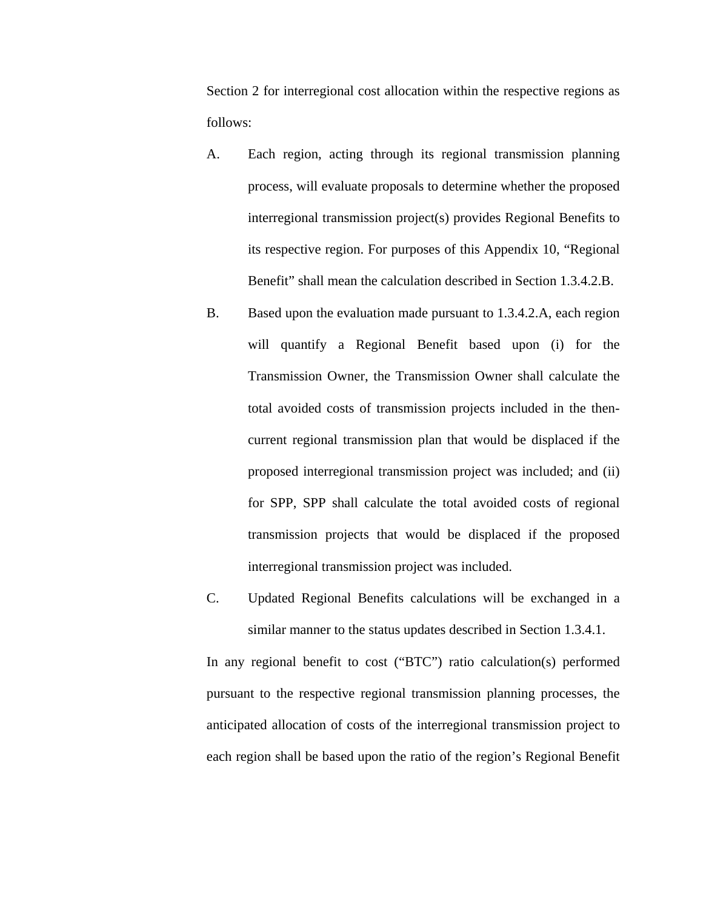Section 2 for interregional cost allocation within the respective regions as follows:

- A. Each region, acting through its regional transmission planning process, will evaluate proposals to determine whether the proposed interregional transmission project(s) provides Regional Benefits to its respective region. For purposes of this Appendix 10, "Regional Benefit" shall mean the calculation described in Section 1.3.4.2.B.
- B. Based upon the evaluation made pursuant to 1.3.4.2.A, each region will quantify a Regional Benefit based upon (i) for the Transmission Owner, the Transmission Owner shall calculate the total avoided costs of transmission projects included in the thencurrent regional transmission plan that would be displaced if the proposed interregional transmission project was included; and (ii) for SPP, SPP shall calculate the total avoided costs of regional transmission projects that would be displaced if the proposed interregional transmission project was included.
- C. Updated Regional Benefits calculations will be exchanged in a similar manner to the status updates described in Section 1.3.4.1.

In any regional benefit to cost ("BTC") ratio calculation(s) performed pursuant to the respective regional transmission planning processes, the anticipated allocation of costs of the interregional transmission project to each region shall be based upon the ratio of the region's Regional Benefit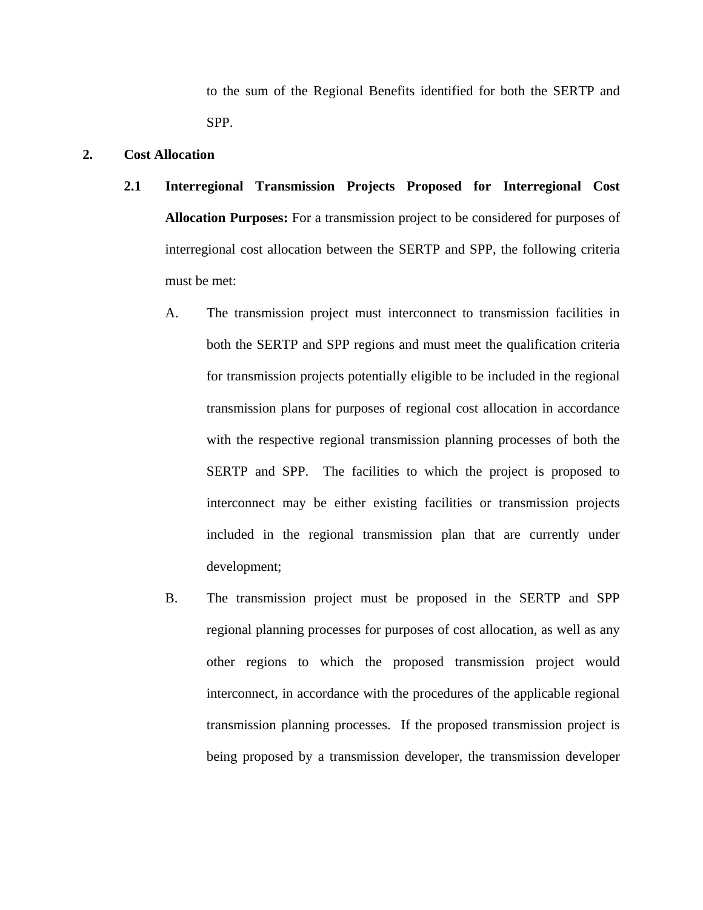to the sum of the Regional Benefits identified for both the SERTP and SPP.

#### **2. Cost Allocation**

- **2.1 Interregional Transmission Projects Proposed for Interregional Cost Allocation Purposes:** For a transmission project to be considered for purposes of interregional cost allocation between the SERTP and SPP, the following criteria must be met:
	- A. The transmission project must interconnect to transmission facilities in both the SERTP and SPP regions and must meet the qualification criteria for transmission projects potentially eligible to be included in the regional transmission plans for purposes of regional cost allocation in accordance with the respective regional transmission planning processes of both the SERTP and SPP. The facilities to which the project is proposed to interconnect may be either existing facilities or transmission projects included in the regional transmission plan that are currently under development;
	- B. The transmission project must be proposed in the SERTP and SPP regional planning processes for purposes of cost allocation, as well as any other regions to which the proposed transmission project would interconnect, in accordance with the procedures of the applicable regional transmission planning processes. If the proposed transmission project is being proposed by a transmission developer, the transmission developer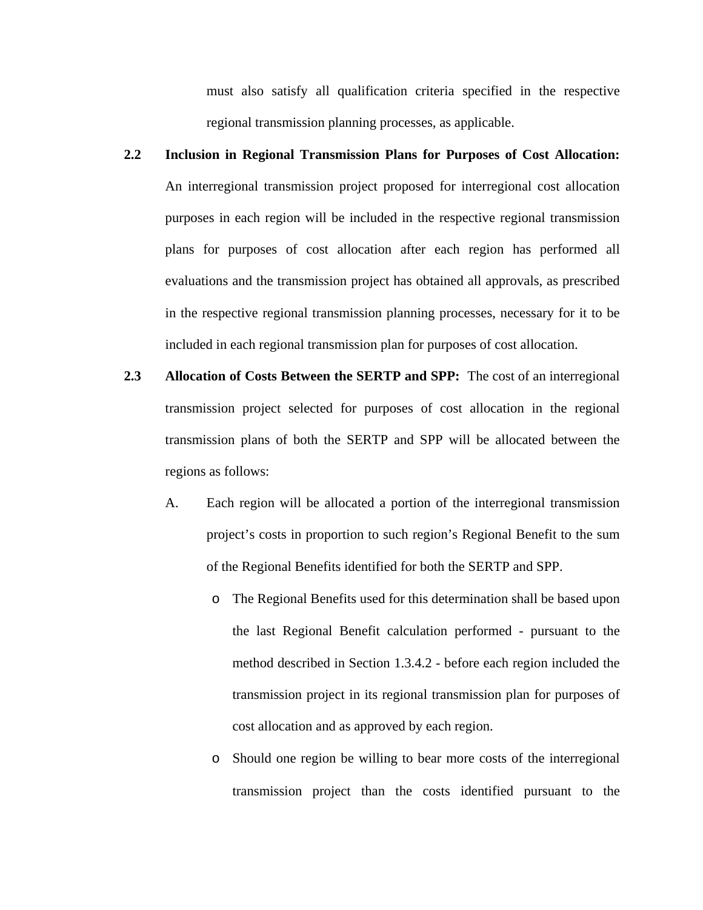must also satisfy all qualification criteria specified in the respective regional transmission planning processes, as applicable.

- **2.2 Inclusion in Regional Transmission Plans for Purposes of Cost Allocation:**  An interregional transmission project proposed for interregional cost allocation purposes in each region will be included in the respective regional transmission plans for purposes of cost allocation after each region has performed all evaluations and the transmission project has obtained all approvals, as prescribed in the respective regional transmission planning processes, necessary for it to be included in each regional transmission plan for purposes of cost allocation.
- **2.3 Allocation of Costs Between the SERTP and SPP:** The cost of an interregional transmission project selected for purposes of cost allocation in the regional transmission plans of both the SERTP and SPP will be allocated between the regions as follows:
	- A. Each region will be allocated a portion of the interregional transmission project's costs in proportion to such region's Regional Benefit to the sum of the Regional Benefits identified for both the SERTP and SPP.
		- o The Regional Benefits used for this determination shall be based upon the last Regional Benefit calculation performed - pursuant to the method described in Section 1.3.4.2 - before each region included the transmission project in its regional transmission plan for purposes of cost allocation and as approved by each region.
		- o Should one region be willing to bear more costs of the interregional transmission project than the costs identified pursuant to the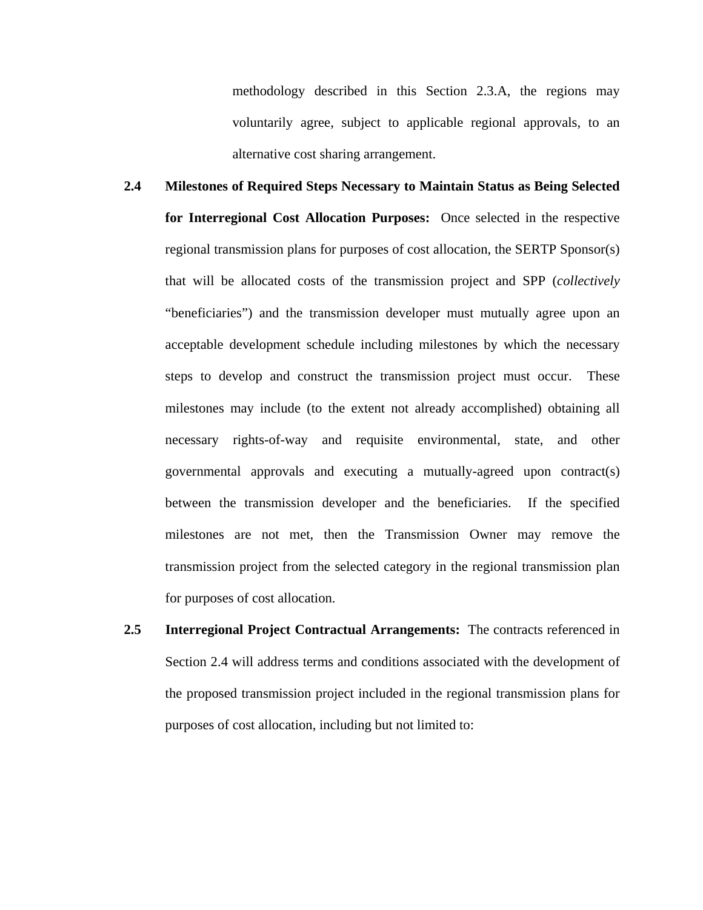methodology described in this Section 2.3.A, the regions may voluntarily agree, subject to applicable regional approvals, to an alternative cost sharing arrangement.

- **2.4 Milestones of Required Steps Necessary to Maintain Status as Being Selected for Interregional Cost Allocation Purposes:** Once selected in the respective regional transmission plans for purposes of cost allocation, the SERTP Sponsor(s) that will be allocated costs of the transmission project and SPP (*collectively* "beneficiaries") and the transmission developer must mutually agree upon an acceptable development schedule including milestones by which the necessary steps to develop and construct the transmission project must occur. These milestones may include (to the extent not already accomplished) obtaining all necessary rights-of-way and requisite environmental, state, and other governmental approvals and executing a mutually-agreed upon contract(s) between the transmission developer and the beneficiaries. If the specified milestones are not met, then the Transmission Owner may remove the transmission project from the selected category in the regional transmission plan for purposes of cost allocation.
- **2.5 Interregional Project Contractual Arrangements:** The contracts referenced in Section 2.4 will address terms and conditions associated with the development of the proposed transmission project included in the regional transmission plans for purposes of cost allocation, including but not limited to: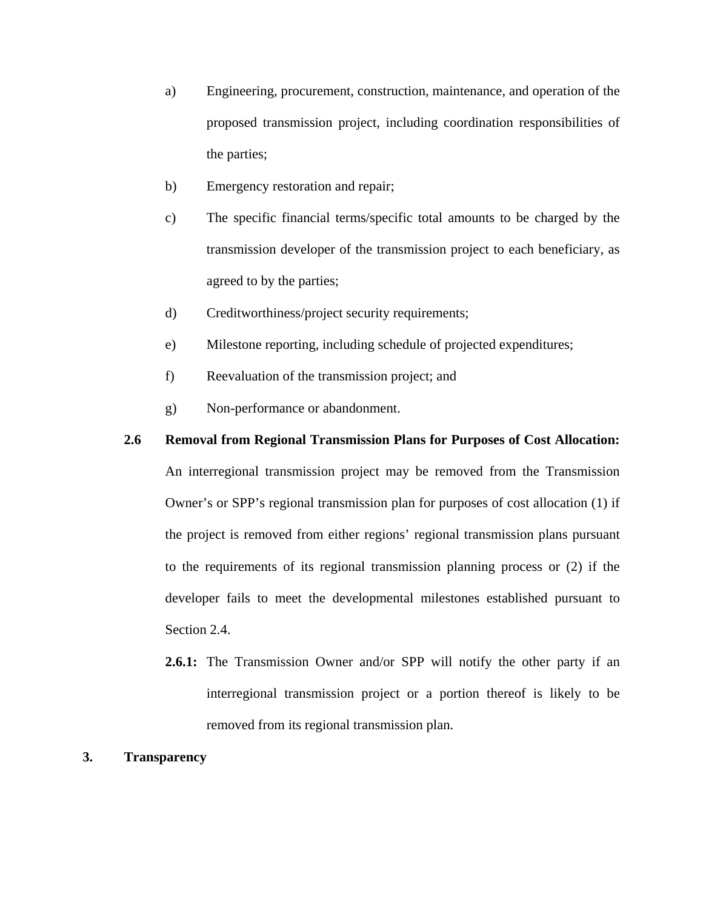- a) Engineering, procurement, construction, maintenance, and operation of the proposed transmission project, including coordination responsibilities of the parties;
- b) Emergency restoration and repair;
- c) The specific financial terms/specific total amounts to be charged by the transmission developer of the transmission project to each beneficiary, as agreed to by the parties;
- d) Creditworthiness/project security requirements;
- e) Milestone reporting, including schedule of projected expenditures;
- f) Reevaluation of the transmission project; and
- g) Non-performance or abandonment.

#### **2.6 Removal from Regional Transmission Plans for Purposes of Cost Allocation:**

An interregional transmission project may be removed from the Transmission Owner's or SPP's regional transmission plan for purposes of cost allocation (1) if the project is removed from either regions' regional transmission plans pursuant to the requirements of its regional transmission planning process or (2) if the developer fails to meet the developmental milestones established pursuant to Section 2.4.

**2.6.1:** The Transmission Owner and/or SPP will notify the other party if an interregional transmission project or a portion thereof is likely to be removed from its regional transmission plan.

#### **3. Transparency**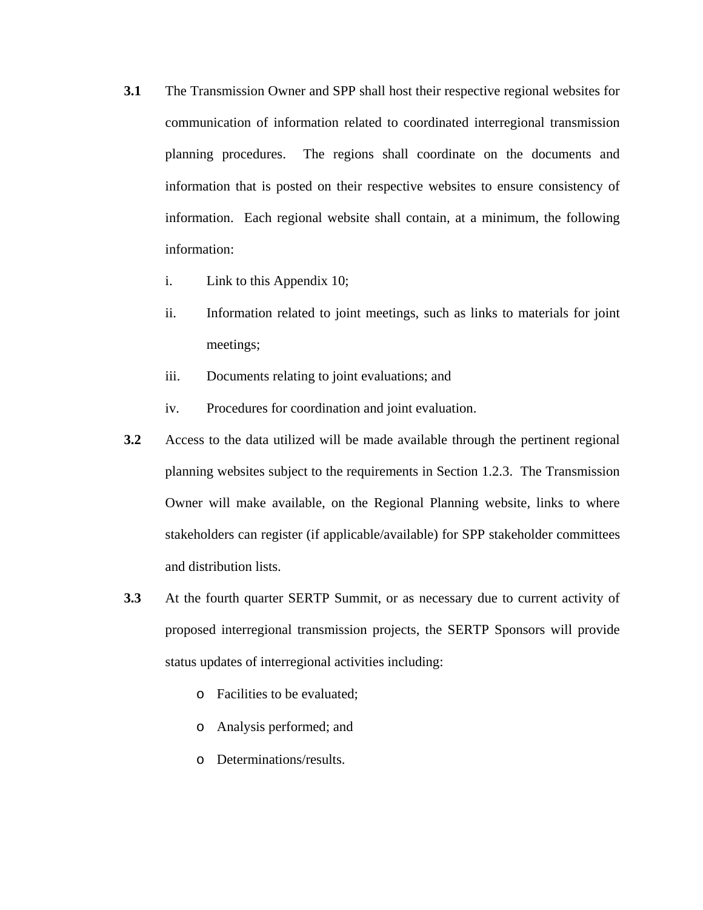- **3.1** The Transmission Owner and SPP shall host their respective regional websites for communication of information related to coordinated interregional transmission planning procedures. The regions shall coordinate on the documents and information that is posted on their respective websites to ensure consistency of information. Each regional website shall contain, at a minimum, the following information:
	- i. Link to this Appendix 10;
	- ii. Information related to joint meetings, such as links to materials for joint meetings;
	- iii. Documents relating to joint evaluations; and
	- iv. Procedures for coordination and joint evaluation.
- **3.2** Access to the data utilized will be made available through the pertinent regional planning websites subject to the requirements in Section 1.2.3. The Transmission Owner will make available, on the Regional Planning website, links to where stakeholders can register (if applicable/available) for SPP stakeholder committees and distribution lists.
- **3.3** At the fourth quarter SERTP Summit, or as necessary due to current activity of proposed interregional transmission projects, the SERTP Sponsors will provide status updates of interregional activities including:
	- o Facilities to be evaluated;
	- o Analysis performed; and
	- o Determinations/results.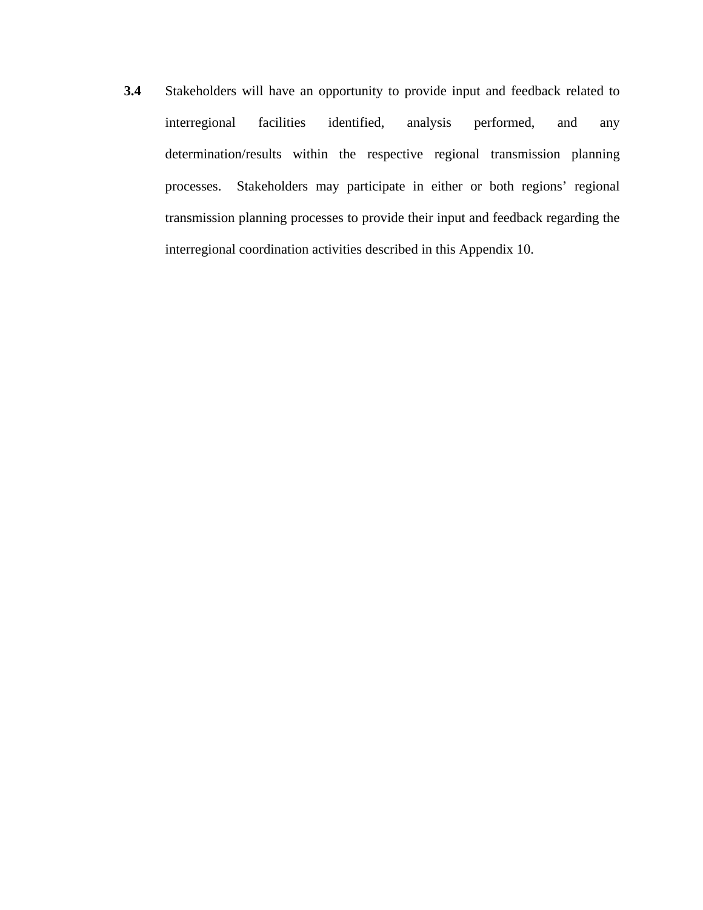**3.4** Stakeholders will have an opportunity to provide input and feedback related to interregional facilities identified, analysis performed, and any determination/results within the respective regional transmission planning processes. Stakeholders may participate in either or both regions' regional transmission planning processes to provide their input and feedback regarding the interregional coordination activities described in this Appendix 10.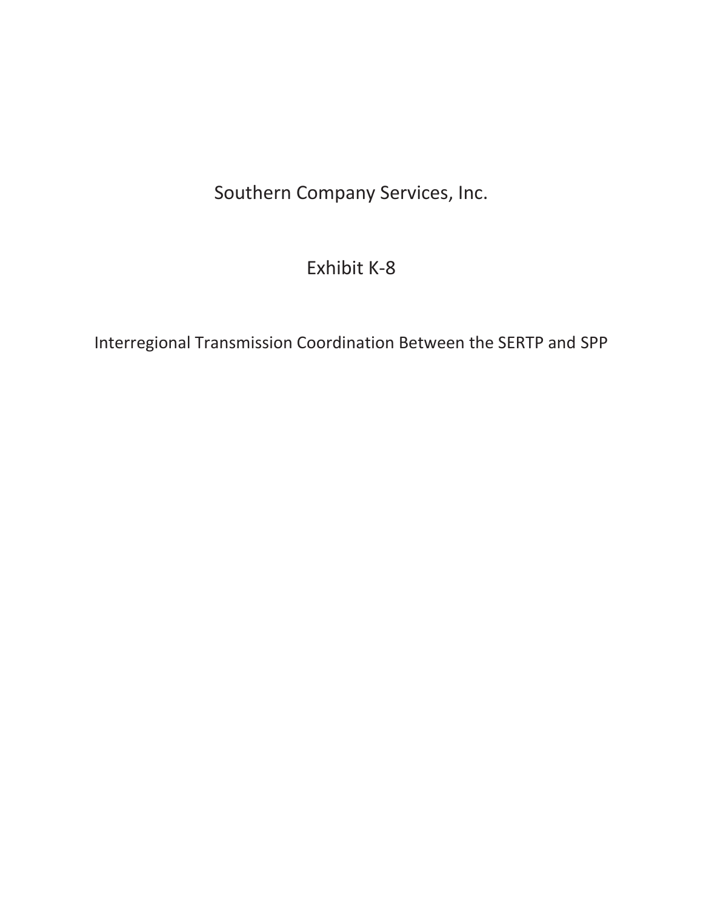## Southern Company Services, Inc.

### Exhibit K-8

Interregional Transmission Coordination Between the SERTP and SPP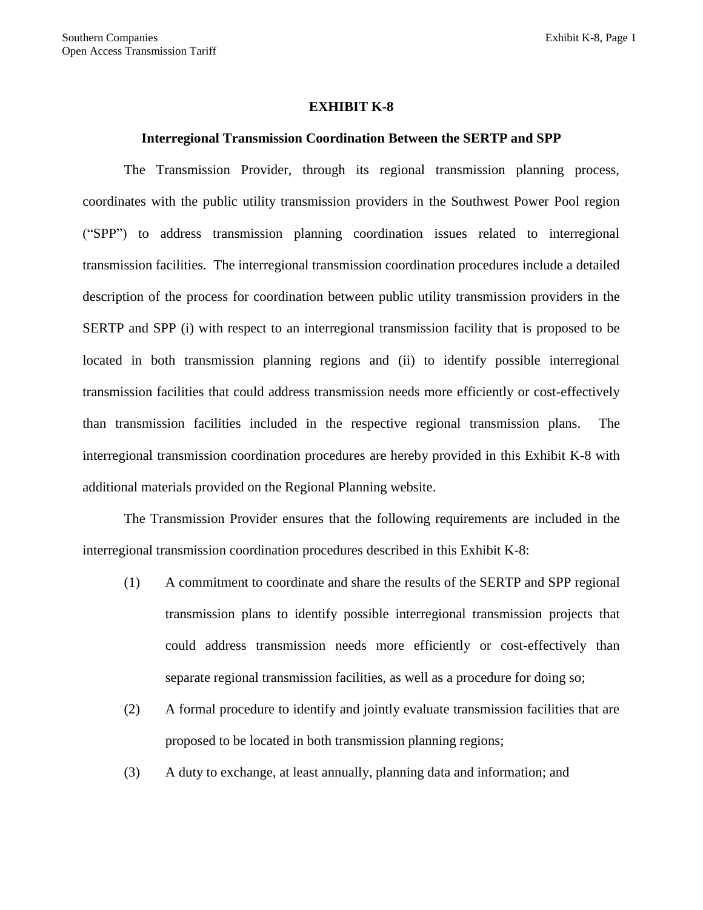#### **EXHIBIT K-8**

#### **Interregional Transmission Coordination Between the SERTP and SPP**

The Transmission Provider, through its regional transmission planning process, coordinates with the public utility transmission providers in the Southwest Power Pool region ("SPP") to address transmission planning coordination issues related to interregional transmission facilities. The interregional transmission coordination procedures include a detailed description of the process for coordination between public utility transmission providers in the SERTP and SPP (i) with respect to an interregional transmission facility that is proposed to be located in both transmission planning regions and (ii) to identify possible interregional transmission facilities that could address transmission needs more efficiently or cost-effectively than transmission facilities included in the respective regional transmission plans. The interregional transmission coordination procedures are hereby provided in this Exhibit K-8 with additional materials provided on the Regional Planning website.

The Transmission Provider ensures that the following requirements are included in the interregional transmission coordination procedures described in this Exhibit K-8:

- (1) A commitment to coordinate and share the results of the SERTP and SPP regional transmission plans to identify possible interregional transmission projects that could address transmission needs more efficiently or cost-effectively than separate regional transmission facilities, as well as a procedure for doing so;
- (2) A formal procedure to identify and jointly evaluate transmission facilities that are proposed to be located in both transmission planning regions;
- (3) A duty to exchange, at least annually, planning data and information; and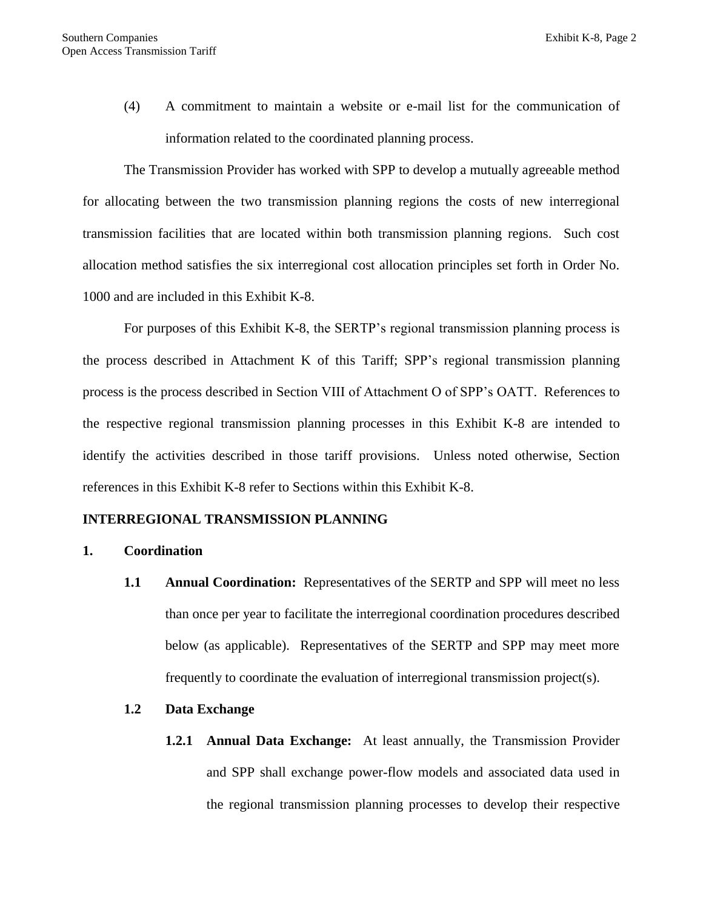(4) A commitment to maintain a website or e-mail list for the communication of information related to the coordinated planning process.

The Transmission Provider has worked with SPP to develop a mutually agreeable method for allocating between the two transmission planning regions the costs of new interregional transmission facilities that are located within both transmission planning regions. Such cost allocation method satisfies the six interregional cost allocation principles set forth in Order No. 1000 and are included in this Exhibit K-8.

For purposes of this Exhibit K-8, the SERTP's regional transmission planning process is the process described in Attachment K of this Tariff; SPP's regional transmission planning process is the process described in Section VIII of Attachment O of SPP's OATT. References to the respective regional transmission planning processes in this Exhibit K-8 are intended to identify the activities described in those tariff provisions. Unless noted otherwise, Section references in this Exhibit K-8 refer to Sections within this Exhibit K-8.

#### **INTERREGIONAL TRANSMISSION PLANNING**

#### **1. Coordination**

**1.1 Annual Coordination:** Representatives of the SERTP and SPP will meet no less than once per year to facilitate the interregional coordination procedures described below (as applicable). Representatives of the SERTP and SPP may meet more frequently to coordinate the evaluation of interregional transmission project(s).

#### **1.2 Data Exchange**

**1.2.1 Annual Data Exchange:** At least annually, the Transmission Provider and SPP shall exchange power-flow models and associated data used in the regional transmission planning processes to develop their respective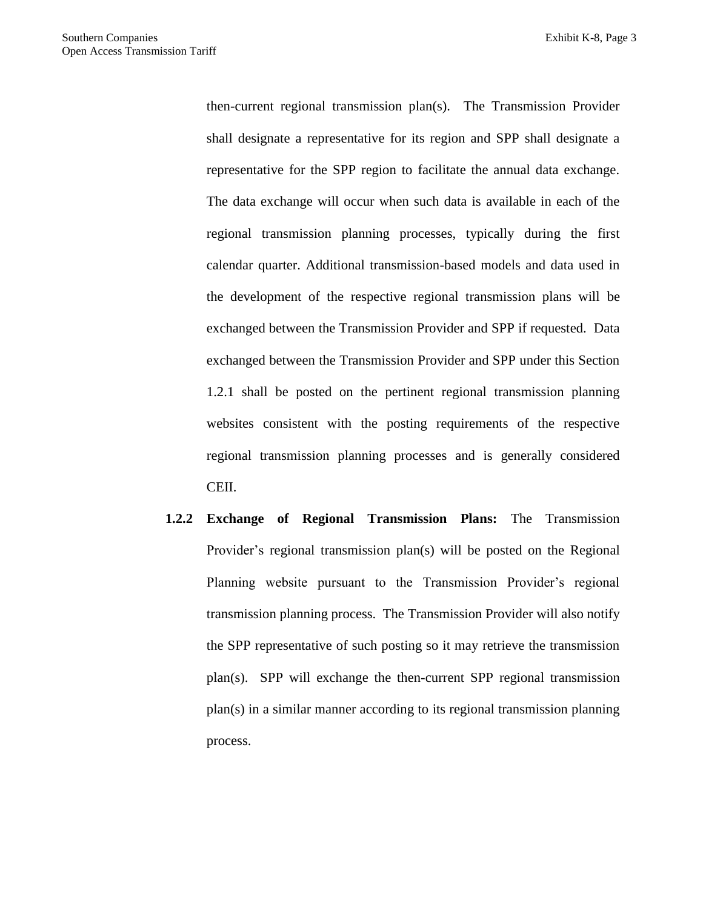then-current regional transmission plan(s). The Transmission Provider shall designate a representative for its region and SPP shall designate a representative for the SPP region to facilitate the annual data exchange. The data exchange will occur when such data is available in each of the regional transmission planning processes, typically during the first calendar quarter. Additional transmission-based models and data used in the development of the respective regional transmission plans will be exchanged between the Transmission Provider and SPP if requested. Data exchanged between the Transmission Provider and SPP under this Section 1.2.1 shall be posted on the pertinent regional transmission planning websites consistent with the posting requirements of the respective regional transmission planning processes and is generally considered CEII.

**1.2.2 Exchange of Regional Transmission Plans:** The Transmission Provider's regional transmission plan(s) will be posted on the Regional Planning website pursuant to the Transmission Provider's regional transmission planning process. The Transmission Provider will also notify the SPP representative of such posting so it may retrieve the transmission plan(s). SPP will exchange the then-current SPP regional transmission plan(s) in a similar manner according to its regional transmission planning process.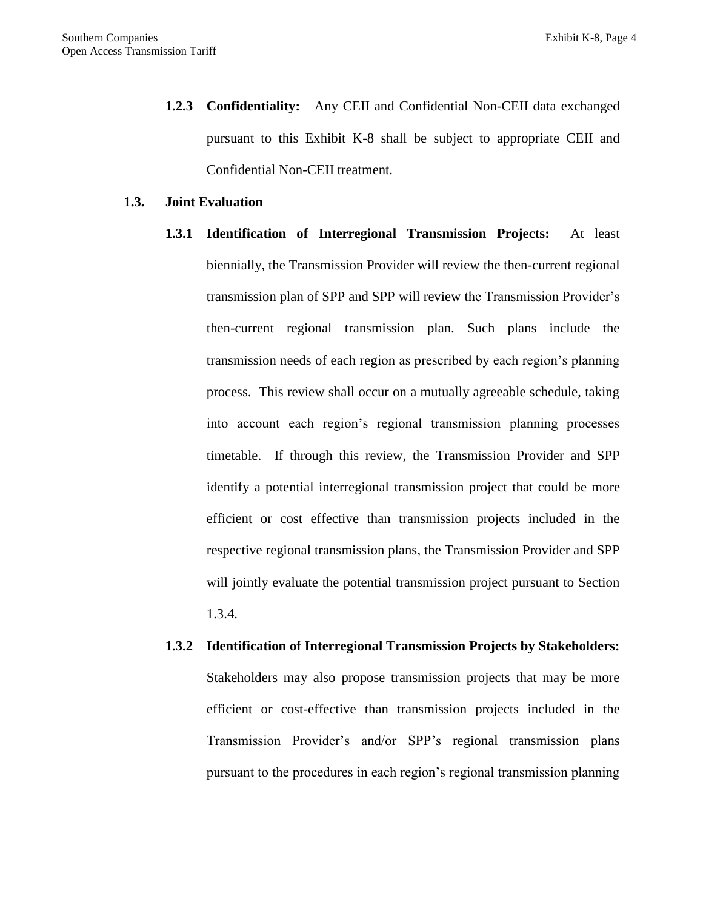**1.2.3 Confidentiality:** Any CEII and Confidential Non-CEII data exchanged pursuant to this Exhibit K-8 shall be subject to appropriate CEII and Confidential Non-CEII treatment.

#### **1.3. Joint Evaluation**

- **1.3.1 Identification of Interregional Transmission Projects:** At least biennially, the Transmission Provider will review the then-current regional transmission plan of SPP and SPP will review the Transmission Provider's then-current regional transmission plan. Such plans include the transmission needs of each region as prescribed by each region's planning process. This review shall occur on a mutually agreeable schedule, taking into account each region's regional transmission planning processes timetable. If through this review, the Transmission Provider and SPP identify a potential interregional transmission project that could be more efficient or cost effective than transmission projects included in the respective regional transmission plans, the Transmission Provider and SPP will jointly evaluate the potential transmission project pursuant to Section 1.3.4.
- **1.3.2 Identification of Interregional Transmission Projects by Stakeholders:**  Stakeholders may also propose transmission projects that may be more efficient or cost-effective than transmission projects included in the Transmission Provider's and/or SPP's regional transmission plans pursuant to the procedures in each region's regional transmission planning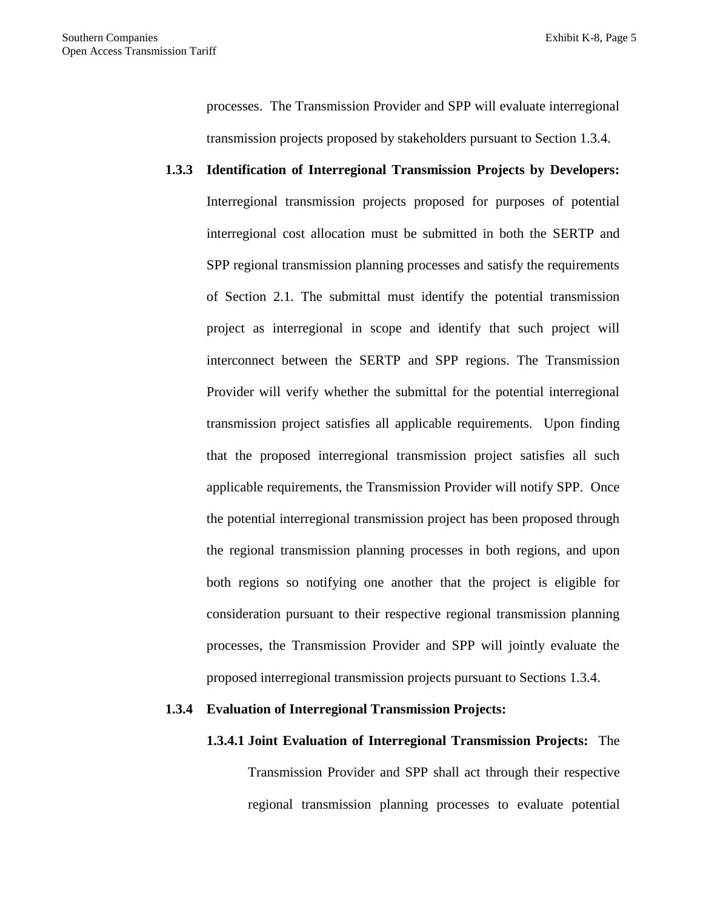processes. The Transmission Provider and SPP will evaluate interregional transmission projects proposed by stakeholders pursuant to Section 1.3.4.

**1.3.3 Identification of Interregional Transmission Projects by Developers:**  Interregional transmission projects proposed for purposes of potential interregional cost allocation must be submitted in both the SERTP and SPP regional transmission planning processes and satisfy the requirements of Section 2.1. The submittal must identify the potential transmission project as interregional in scope and identify that such project will interconnect between the SERTP and SPP regions. The Transmission Provider will verify whether the submittal for the potential interregional transmission project satisfies all applicable requirements. Upon finding that the proposed interregional transmission project satisfies all such applicable requirements, the Transmission Provider will notify SPP. Once the potential interregional transmission project has been proposed through the regional transmission planning processes in both regions, and upon both regions so notifying one another that the project is eligible for consideration pursuant to their respective regional transmission planning processes, the Transmission Provider and SPP will jointly evaluate the proposed interregional transmission projects pursuant to Sections 1.3.4.

#### **1.3.4 Evaluation of Interregional Transmission Projects:**

### **1.3.4.1 Joint Evaluation of Interregional Transmission Projects:** The

Transmission Provider and SPP shall act through their respective regional transmission planning processes to evaluate potential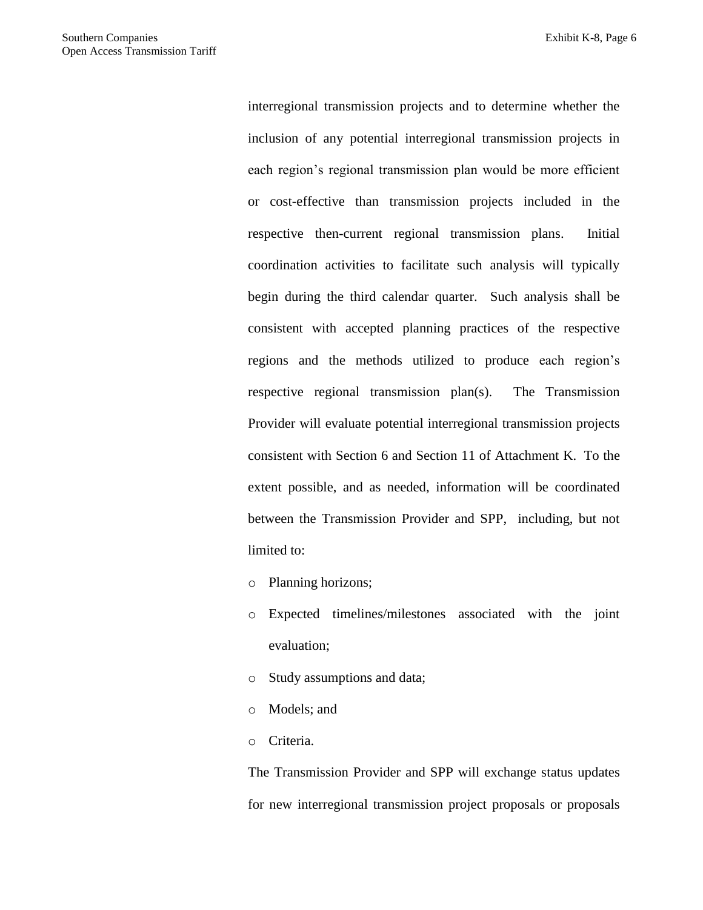interregional transmission projects and to determine whether the inclusion of any potential interregional transmission projects in each region's regional transmission plan would be more efficient or cost-effective than transmission projects included in the respective then-current regional transmission plans. Initial coordination activities to facilitate such analysis will typically begin during the third calendar quarter. Such analysis shall be consistent with accepted planning practices of the respective regions and the methods utilized to produce each region's respective regional transmission plan(s). The Transmission Provider will evaluate potential interregional transmission projects consistent with Section 6 and Section 11 of Attachment K. To the extent possible, and as needed, information will be coordinated between the Transmission Provider and SPP, including, but not limited to:

o Planning horizons;

- o Expected timelines/milestones associated with the joint evaluation;
- o Study assumptions and data;
- o Models; and
- o Criteria.

The Transmission Provider and SPP will exchange status updates for new interregional transmission project proposals or proposals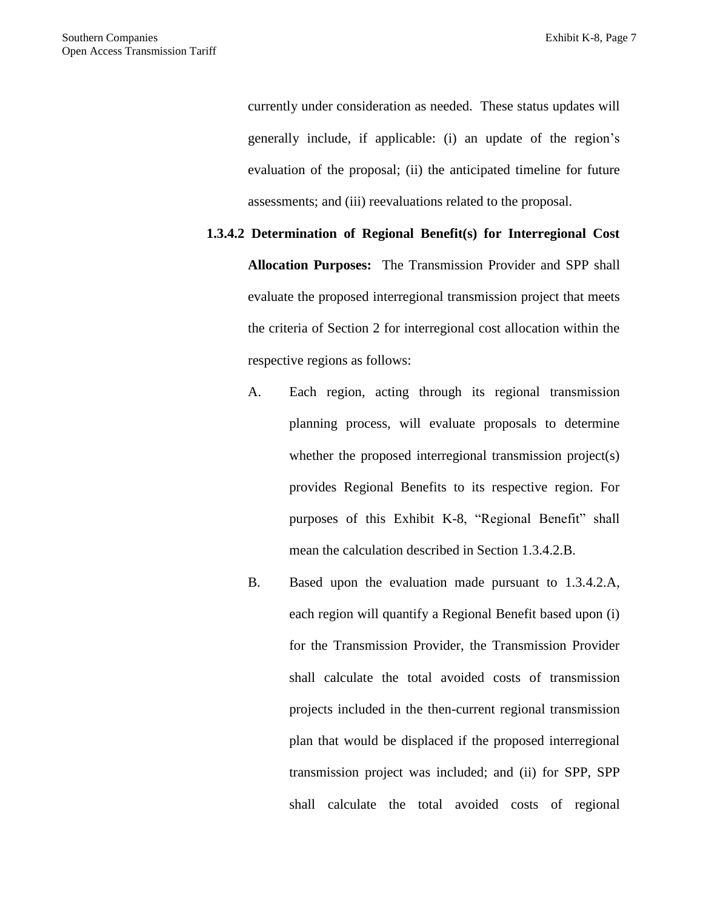currently under consideration as needed. These status updates will generally include, if applicable: (i) an update of the region's evaluation of the proposal; (ii) the anticipated timeline for future assessments; and (iii) reevaluations related to the proposal.

**1.3.4.2 Determination of Regional Benefit(s) for Interregional Cost Allocation Purposes:** The Transmission Provider and SPP shall evaluate the proposed interregional transmission project that meets the criteria of Section 2 for interregional cost allocation within the respective regions as follows:

- A. Each region, acting through its regional transmission planning process, will evaluate proposals to determine whether the proposed interregional transmission project(s) provides Regional Benefits to its respective region. For purposes of this Exhibit K-8, "Regional Benefit" shall mean the calculation described in Section 1.3.4.2.B.
- B. Based upon the evaluation made pursuant to 1.3.4.2.A, each region will quantify a Regional Benefit based upon (i) for the Transmission Provider, the Transmission Provider shall calculate the total avoided costs of transmission projects included in the then-current regional transmission plan that would be displaced if the proposed interregional transmission project was included; and (ii) for SPP, SPP shall calculate the total avoided costs of regional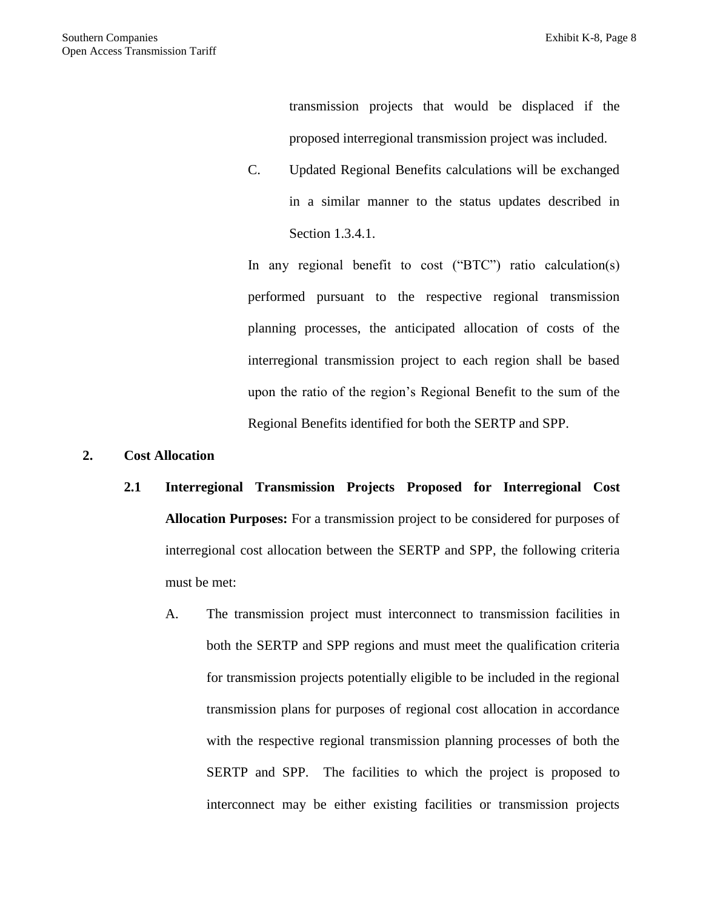transmission projects that would be displaced if the proposed interregional transmission project was included.

C. Updated Regional Benefits calculations will be exchanged in a similar manner to the status updates described in Section 1.3.4.1.

In any regional benefit to cost ("BTC") ratio calculation(s) performed pursuant to the respective regional transmission planning processes, the anticipated allocation of costs of the interregional transmission project to each region shall be based upon the ratio of the region's Regional Benefit to the sum of the Regional Benefits identified for both the SERTP and SPP.

- **2. Cost Allocation**
	- **2.1 Interregional Transmission Projects Proposed for Interregional Cost Allocation Purposes:** For a transmission project to be considered for purposes of interregional cost allocation between the SERTP and SPP, the following criteria must be met:
		- A. The transmission project must interconnect to transmission facilities in both the SERTP and SPP regions and must meet the qualification criteria for transmission projects potentially eligible to be included in the regional transmission plans for purposes of regional cost allocation in accordance with the respective regional transmission planning processes of both the SERTP and SPP. The facilities to which the project is proposed to interconnect may be either existing facilities or transmission projects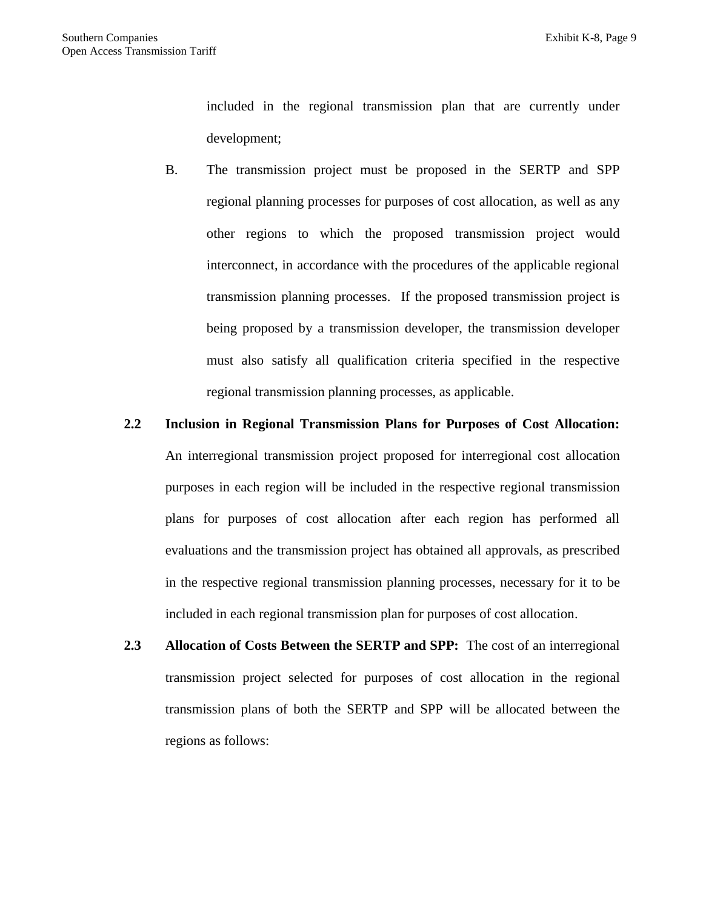included in the regional transmission plan that are currently under development;

- B. The transmission project must be proposed in the SERTP and SPP regional planning processes for purposes of cost allocation, as well as any other regions to which the proposed transmission project would interconnect, in accordance with the procedures of the applicable regional transmission planning processes. If the proposed transmission project is being proposed by a transmission developer, the transmission developer must also satisfy all qualification criteria specified in the respective regional transmission planning processes, as applicable.
- **2.2 Inclusion in Regional Transmission Plans for Purposes of Cost Allocation:**  An interregional transmission project proposed for interregional cost allocation purposes in each region will be included in the respective regional transmission plans for purposes of cost allocation after each region has performed all evaluations and the transmission project has obtained all approvals, as prescribed in the respective regional transmission planning processes, necessary for it to be included in each regional transmission plan for purposes of cost allocation.
- **2.3 Allocation of Costs Between the SERTP and SPP:** The cost of an interregional transmission project selected for purposes of cost allocation in the regional transmission plans of both the SERTP and SPP will be allocated between the regions as follows: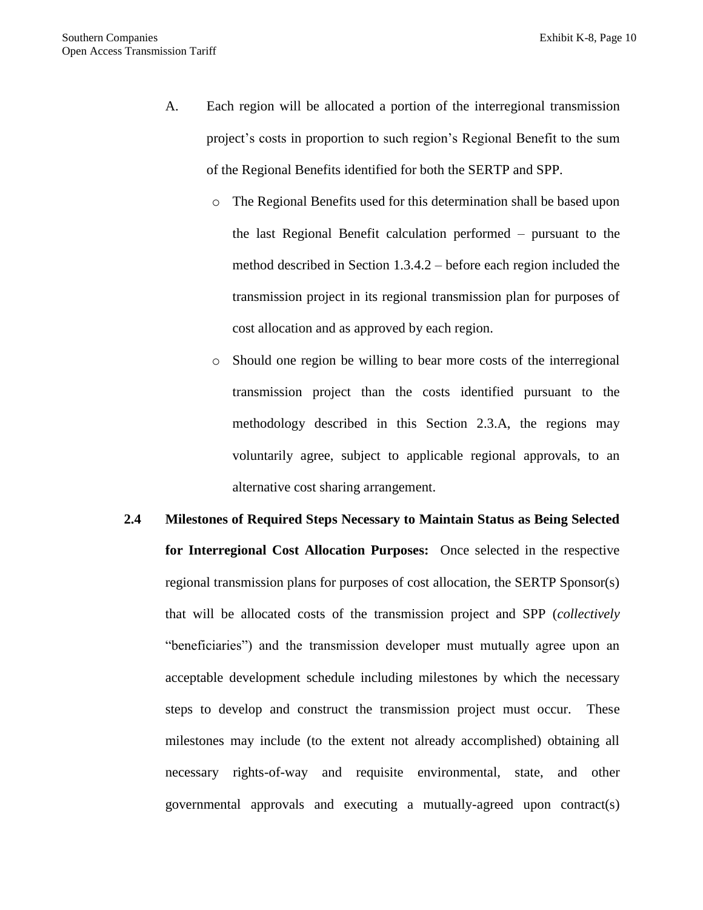- A. Each region will be allocated a portion of the interregional transmission project's costs in proportion to such region's Regional Benefit to the sum of the Regional Benefits identified for both the SERTP and SPP.
	- o The Regional Benefits used for this determination shall be based upon the last Regional Benefit calculation performed – pursuant to the method described in Section 1.3.4.2 – before each region included the transmission project in its regional transmission plan for purposes of cost allocation and as approved by each region.
	- o Should one region be willing to bear more costs of the interregional transmission project than the costs identified pursuant to the methodology described in this Section 2.3.A, the regions may voluntarily agree, subject to applicable regional approvals, to an alternative cost sharing arrangement.
- **2.4 Milestones of Required Steps Necessary to Maintain Status as Being Selected for Interregional Cost Allocation Purposes:** Once selected in the respective regional transmission plans for purposes of cost allocation, the SERTP Sponsor(s) that will be allocated costs of the transmission project and SPP (*collectively* "beneficiaries") and the transmission developer must mutually agree upon an acceptable development schedule including milestones by which the necessary steps to develop and construct the transmission project must occur. These milestones may include (to the extent not already accomplished) obtaining all necessary rights-of-way and requisite environmental, state, and other governmental approvals and executing a mutually-agreed upon contract(s)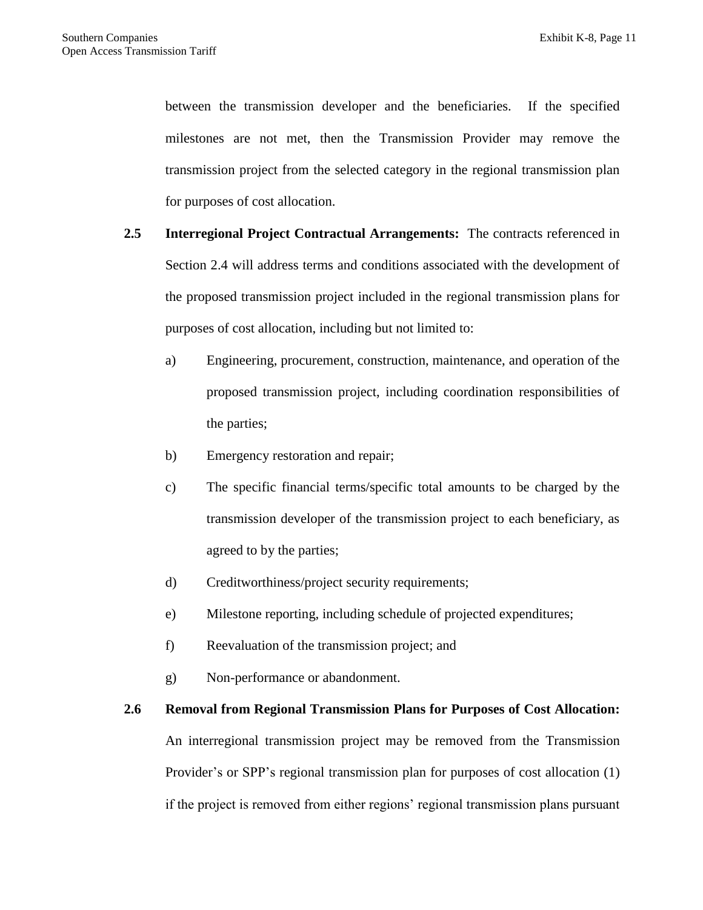between the transmission developer and the beneficiaries. If the specified milestones are not met, then the Transmission Provider may remove the transmission project from the selected category in the regional transmission plan for purposes of cost allocation.

- **2.5 Interregional Project Contractual Arrangements:** The contracts referenced in Section 2.4 will address terms and conditions associated with the development of the proposed transmission project included in the regional transmission plans for purposes of cost allocation, including but not limited to:
	- a) Engineering, procurement, construction, maintenance, and operation of the proposed transmission project, including coordination responsibilities of the parties;
	- b) Emergency restoration and repair;
	- c) The specific financial terms/specific total amounts to be charged by the transmission developer of the transmission project to each beneficiary, as agreed to by the parties;
	- d) Creditworthiness/project security requirements;
	- e) Milestone reporting, including schedule of projected expenditures;
	- f) Reevaluation of the transmission project; and
	- g) Non-performance or abandonment.

# **2.6 Removal from Regional Transmission Plans for Purposes of Cost Allocation:** An interregional transmission project may be removed from the Transmission Provider's or SPP's regional transmission plan for purposes of cost allocation (1) if the project is removed from either regions' regional transmission plans pursuant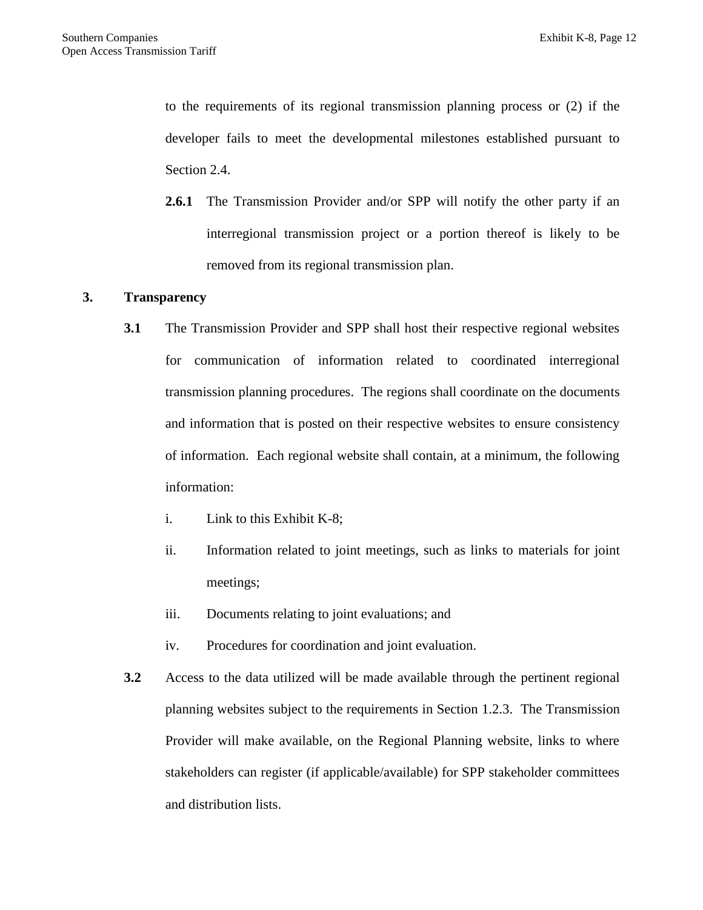to the requirements of its regional transmission planning process or (2) if the developer fails to meet the developmental milestones established pursuant to Section 2.4.

**2.6.1** The Transmission Provider and/or SPP will notify the other party if an interregional transmission project or a portion thereof is likely to be removed from its regional transmission plan.

#### **3. Transparency**

- **3.1** The Transmission Provider and SPP shall host their respective regional websites for communication of information related to coordinated interregional transmission planning procedures. The regions shall coordinate on the documents and information that is posted on their respective websites to ensure consistency of information. Each regional website shall contain, at a minimum, the following information:
	- i. Link to this Exhibit K-8;
	- ii. Information related to joint meetings, such as links to materials for joint meetings;
	- iii. Documents relating to joint evaluations; and
	- iv. Procedures for coordination and joint evaluation.
- **3.2** Access to the data utilized will be made available through the pertinent regional planning websites subject to the requirements in Section 1.2.3. The Transmission Provider will make available, on the Regional Planning website, links to where stakeholders can register (if applicable/available) for SPP stakeholder committees and distribution lists.